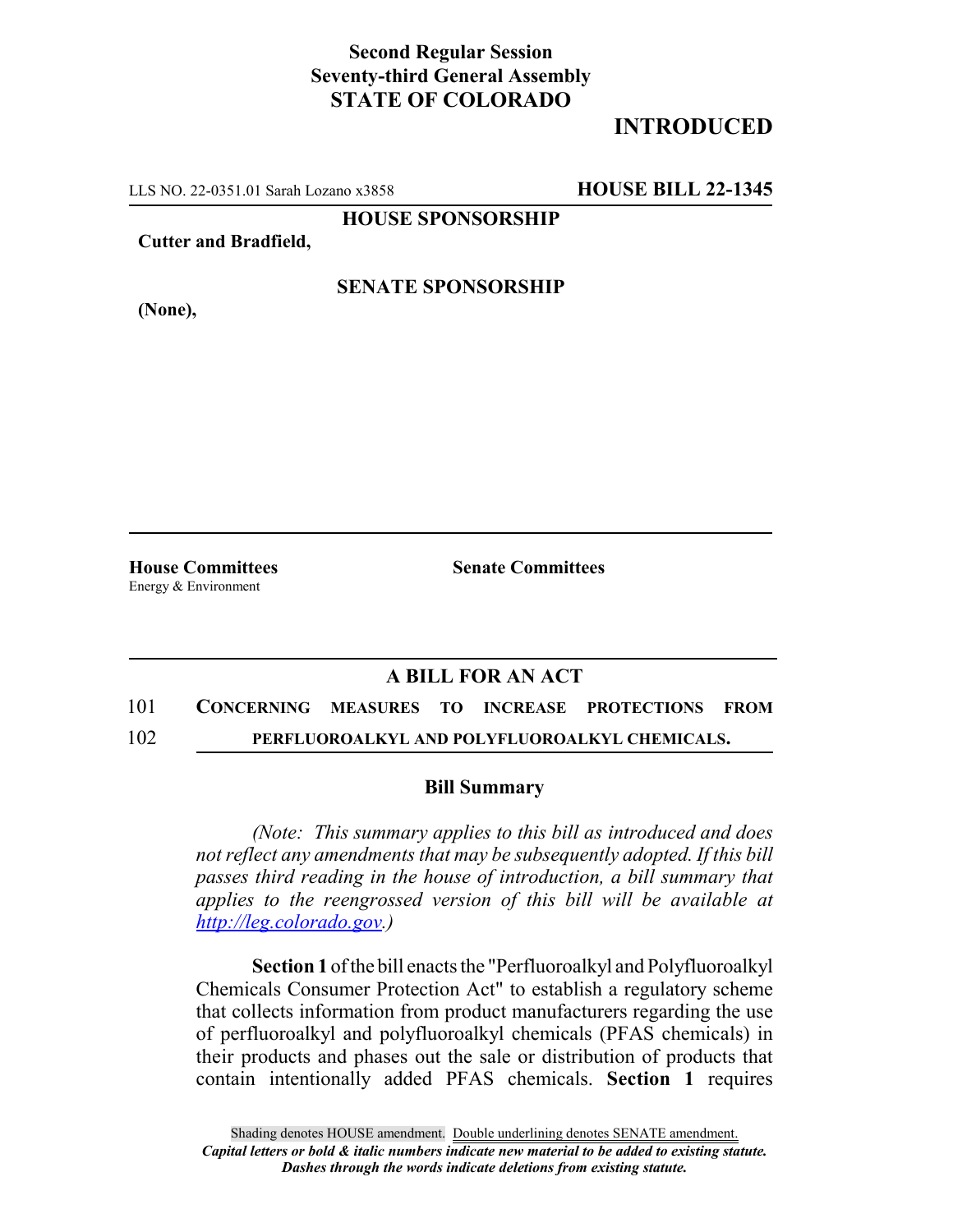## **Second Regular Session Seventy-third General Assembly STATE OF COLORADO**

# **INTRODUCED**

LLS NO. 22-0351.01 Sarah Lozano x3858 **HOUSE BILL 22-1345**

**HOUSE SPONSORSHIP**

**Cutter and Bradfield,**

#### **SENATE SPONSORSHIP**

**(None),**

Energy & Environment

**House Committees Senate Committees**

## **A BILL FOR AN ACT**

# 101 **CONCERNING MEASURES TO INCREASE PROTECTIONS FROM**

### 102 **PERFLUOROALKYL AND POLYFLUOROALKYL CHEMICALS.**

#### **Bill Summary**

*(Note: This summary applies to this bill as introduced and does not reflect any amendments that may be subsequently adopted. If this bill passes third reading in the house of introduction, a bill summary that applies to the reengrossed version of this bill will be available at http://leg.colorado.gov.)*

**Section 1** of the bill enacts the "Perfluoroalkyl and Polyfluoroalkyl Chemicals Consumer Protection Act" to establish a regulatory scheme that collects information from product manufacturers regarding the use of perfluoroalkyl and polyfluoroalkyl chemicals (PFAS chemicals) in their products and phases out the sale or distribution of products that contain intentionally added PFAS chemicals. **Section 1** requires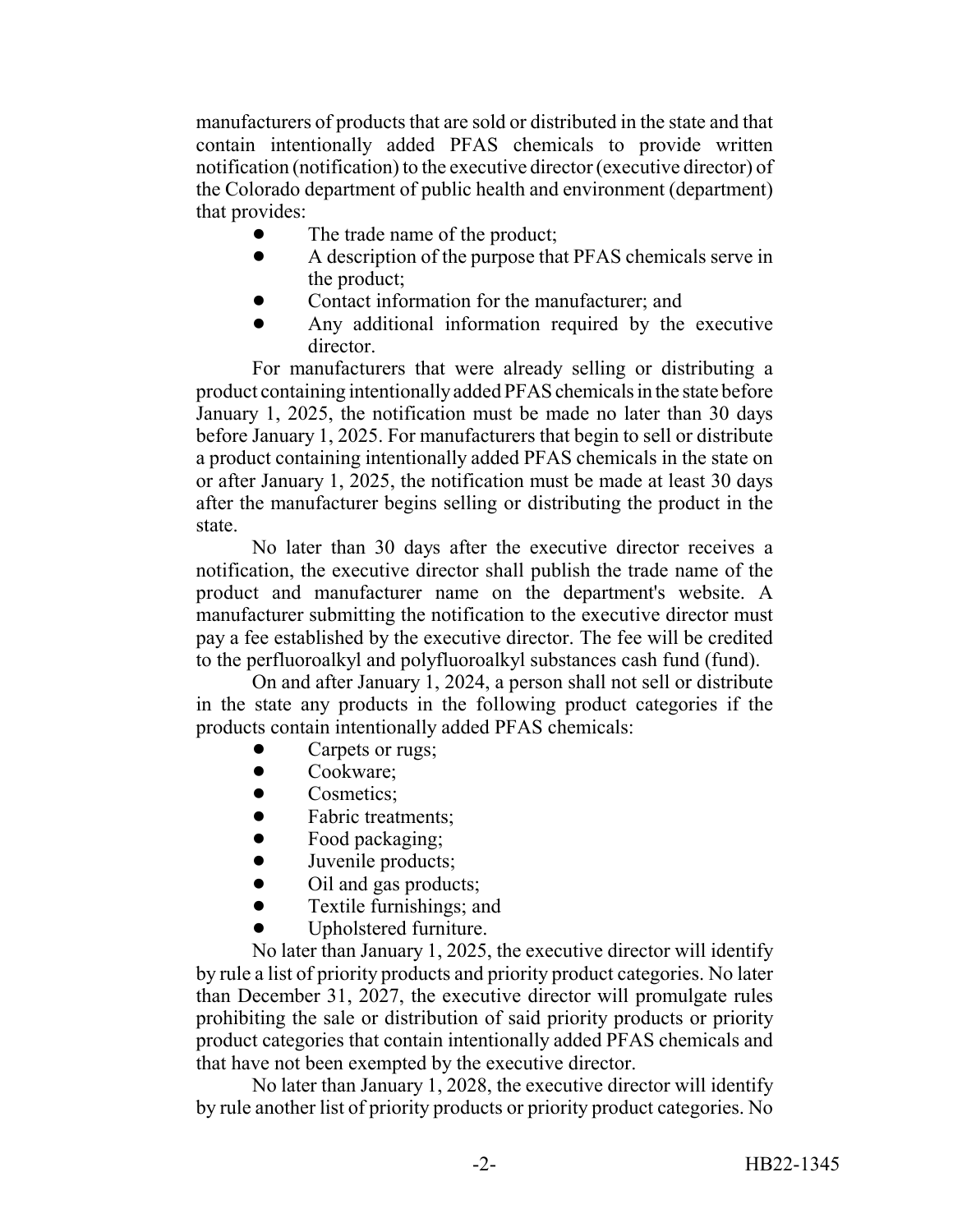manufacturers of products that are sold or distributed in the state and that contain intentionally added PFAS chemicals to provide written notification (notification) to the executive director (executive director) of the Colorado department of public health and environment (department) that provides:

- The trade name of the product;
- A description of the purpose that PFAS chemicals serve in the product;
- ! Contact information for the manufacturer; and
- ! Any additional information required by the executive director.

For manufacturers that were already selling or distributing a product containing intentionally added PFAS chemicals in the state before January 1, 2025, the notification must be made no later than 30 days before January 1, 2025. For manufacturers that begin to sell or distribute a product containing intentionally added PFAS chemicals in the state on or after January 1, 2025, the notification must be made at least 30 days after the manufacturer begins selling or distributing the product in the state.

No later than 30 days after the executive director receives a notification, the executive director shall publish the trade name of the product and manufacturer name on the department's website. A manufacturer submitting the notification to the executive director must pay a fee established by the executive director. The fee will be credited to the perfluoroalkyl and polyfluoroalkyl substances cash fund (fund).

On and after January 1, 2024, a person shall not sell or distribute in the state any products in the following product categories if the products contain intentionally added PFAS chemicals:

- Carpets or rugs;
- Cookware:
- Cosmetics:
- **Fabric treatments;**
- Food packaging;
- Juvenile products;
- Oil and gas products;
- Textile furnishings; and
- Upholstered furniture.

No later than January 1, 2025, the executive director will identify by rule a list of priority products and priority product categories. No later than December 31, 2027, the executive director will promulgate rules prohibiting the sale or distribution of said priority products or priority product categories that contain intentionally added PFAS chemicals and that have not been exempted by the executive director.

No later than January 1, 2028, the executive director will identify by rule another list of priority products or priority product categories. No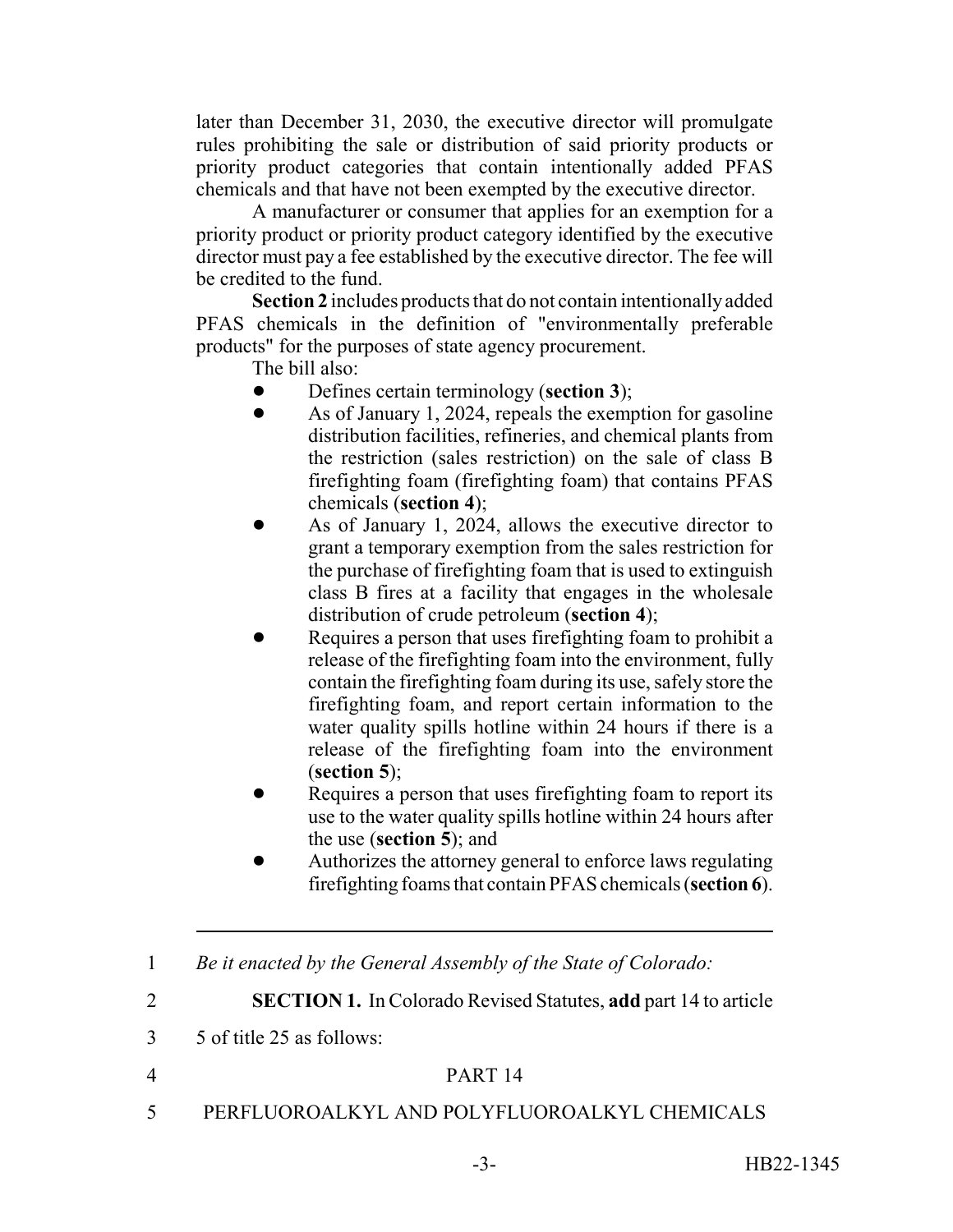later than December 31, 2030, the executive director will promulgate rules prohibiting the sale or distribution of said priority products or priority product categories that contain intentionally added PFAS chemicals and that have not been exempted by the executive director.

A manufacturer or consumer that applies for an exemption for a priority product or priority product category identified by the executive director must pay a fee established by the executive director. The fee will be credited to the fund.

**Section 2** includes products that do not contain intentionally added PFAS chemicals in the definition of "environmentally preferable products" for the purposes of state agency procurement.

The bill also:

- ! Defines certain terminology (**section 3**);
- As of January 1, 2024, repeals the exemption for gasoline distribution facilities, refineries, and chemical plants from the restriction (sales restriction) on the sale of class B firefighting foam (firefighting foam) that contains PFAS chemicals (**section 4**);
- ! As of January 1, 2024, allows the executive director to grant a temporary exemption from the sales restriction for the purchase of firefighting foam that is used to extinguish class B fires at a facility that engages in the wholesale distribution of crude petroleum (**section 4**);
- Requires a person that uses firefighting foam to prohibit a release of the firefighting foam into the environment, fully contain the firefighting foam during its use, safely store the firefighting foam, and report certain information to the water quality spills hotline within 24 hours if there is a release of the firefighting foam into the environment (**section 5**);
- Requires a person that uses firefighting foam to report its use to the water quality spills hotline within 24 hours after the use (**section 5**); and
- Authorizes the attorney general to enforce laws regulating firefighting foams that contain PFAS chemicals (**section 6**).

|  |  |  | Be it enacted by the General Assembly of the State of Colorado: |
|--|--|--|-----------------------------------------------------------------|
|  |  |  |                                                                 |

2 **SECTION 1.** In Colorado Revised Statutes, **add** part 14 to article

3 5 of title 25 as follows:

- 4 PART 14
- 5 PERFLUOROALKYL AND POLYFLUOROALKYL CHEMICALS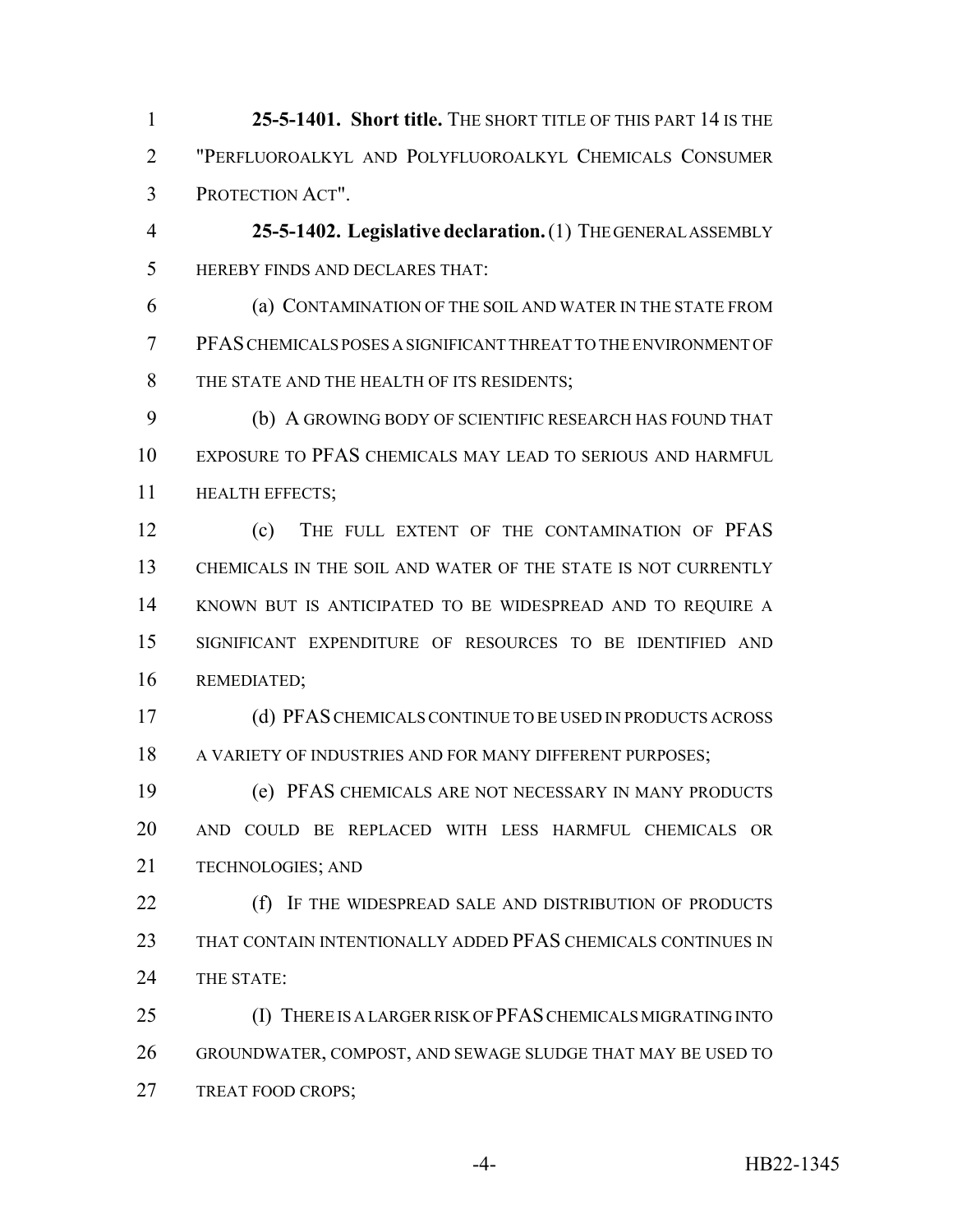**25-5-1401. Short title.** THE SHORT TITLE OF THIS PART 14 IS THE "PERFLUOROALKYL AND POLYFLUOROALKYL CHEMICALS CONSUMER PROTECTION ACT".

 **25-5-1402. Legislative declaration.** (1) THE GENERAL ASSEMBLY HEREBY FINDS AND DECLARES THAT:

 (a) CONTAMINATION OF THE SOIL AND WATER IN THE STATE FROM PFAS CHEMICALS POSES A SIGNIFICANT THREAT TO THE ENVIRONMENT OF THE STATE AND THE HEALTH OF ITS RESIDENTS;

 (b) A GROWING BODY OF SCIENTIFIC RESEARCH HAS FOUND THAT EXPOSURE TO PFAS CHEMICALS MAY LEAD TO SERIOUS AND HARMFUL HEALTH EFFECTS;

12 (c) THE FULL EXTENT OF THE CONTAMINATION OF PFAS CHEMICALS IN THE SOIL AND WATER OF THE STATE IS NOT CURRENTLY KNOWN BUT IS ANTICIPATED TO BE WIDESPREAD AND TO REQUIRE A SIGNIFICANT EXPENDITURE OF RESOURCES TO BE IDENTIFIED AND REMEDIATED;

 (d) PFAS CHEMICALS CONTINUE TO BE USED IN PRODUCTS ACROSS 18 A VARIETY OF INDUSTRIES AND FOR MANY DIFFERENT PURPOSES:

 (e) PFAS CHEMICALS ARE NOT NECESSARY IN MANY PRODUCTS AND COULD BE REPLACED WITH LESS HARMFUL CHEMICALS OR TECHNOLOGIES; AND

**(f)** IF THE WIDESPREAD SALE AND DISTRIBUTION OF PRODUCTS THAT CONTAIN INTENTIONALLY ADDED PFAS CHEMICALS CONTINUES IN THE STATE:

 (I) THERE IS A LARGER RISK OF PFAS CHEMICALS MIGRATING INTO GROUNDWATER, COMPOST, AND SEWAGE SLUDGE THAT MAY BE USED TO 27 TREAT FOOD CROPS;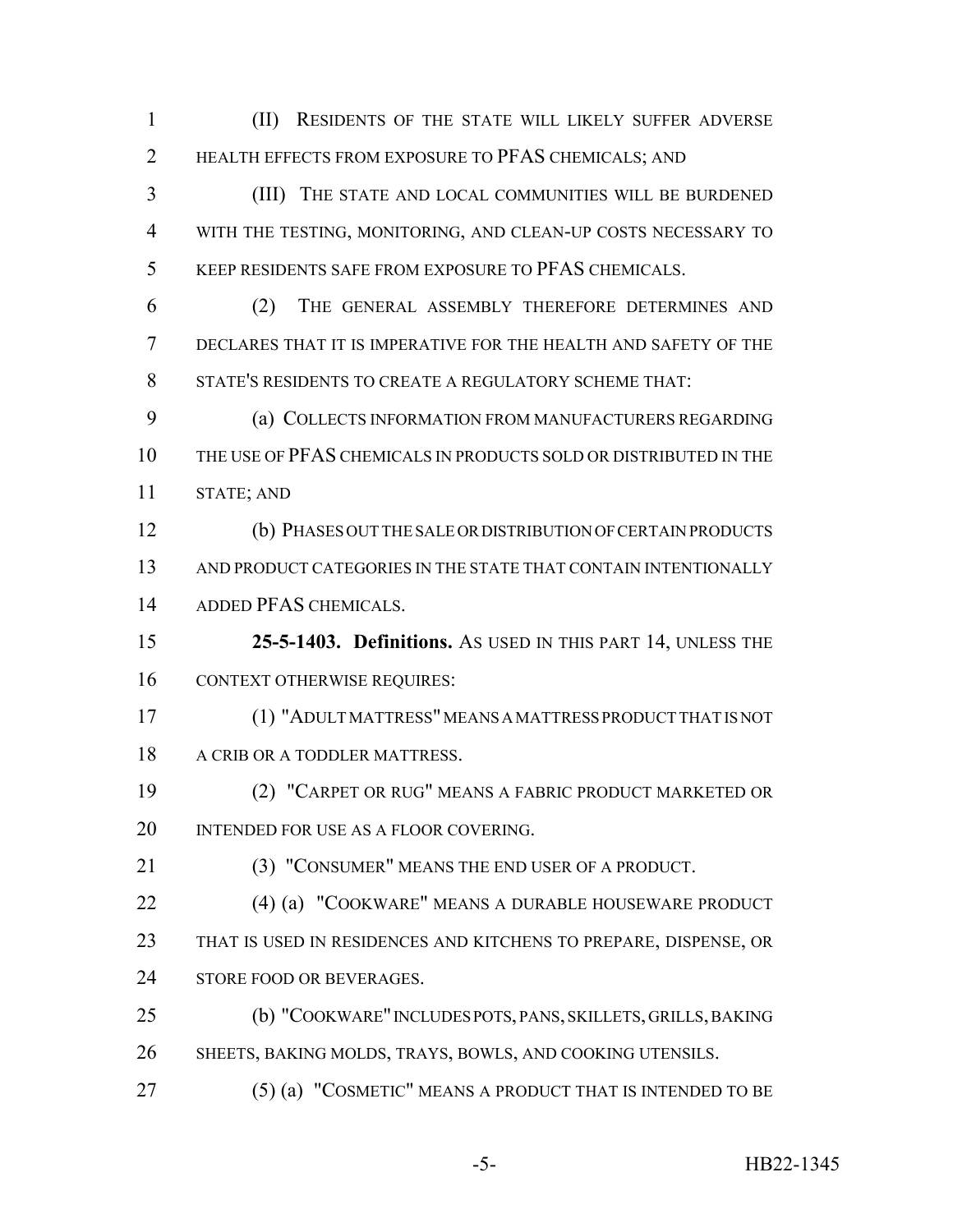(II) RESIDENTS OF THE STATE WILL LIKELY SUFFER ADVERSE HEALTH EFFECTS FROM EXPOSURE TO PFAS CHEMICALS; AND (III) THE STATE AND LOCAL COMMUNITIES WILL BE BURDENED WITH THE TESTING, MONITORING, AND CLEAN-UP COSTS NECESSARY TO KEEP RESIDENTS SAFE FROM EXPOSURE TO PFAS CHEMICALS. (2) THE GENERAL ASSEMBLY THEREFORE DETERMINES AND DECLARES THAT IT IS IMPERATIVE FOR THE HEALTH AND SAFETY OF THE STATE'S RESIDENTS TO CREATE A REGULATORY SCHEME THAT: (a) COLLECTS INFORMATION FROM MANUFACTURERS REGARDING THE USE OF PFAS CHEMICALS IN PRODUCTS SOLD OR DISTRIBUTED IN THE STATE; AND (b) PHASES OUT THE SALE OR DISTRIBUTION OF CERTAIN PRODUCTS AND PRODUCT CATEGORIES IN THE STATE THAT CONTAIN INTENTIONALLY ADDED PFAS CHEMICALS. **25-5-1403. Definitions.** AS USED IN THIS PART 14, UNLESS THE CONTEXT OTHERWISE REQUIRES: (1) "ADULT MATTRESS" MEANS A MATTRESS PRODUCT THAT IS NOT 18 A CRIB OR A TODDLER MATTRESS. (2) "CARPET OR RUG" MEANS A FABRIC PRODUCT MARKETED OR 20 INTENDED FOR USE AS A FLOOR COVERING. (3) "CONSUMER" MEANS THE END USER OF A PRODUCT. (4) (a) "COOKWARE" MEANS A DURABLE HOUSEWARE PRODUCT THAT IS USED IN RESIDENCES AND KITCHENS TO PREPARE, DISPENSE, OR 24 STORE FOOD OR BEVERAGES. (b) "COOKWARE" INCLUDES POTS, PANS, SKILLETS, GRILLS, BAKING 26 SHEETS, BAKING MOLDS, TRAYS, BOWLS, AND COOKING UTENSILS.

(5) (a) "COSMETIC" MEANS A PRODUCT THAT IS INTENDED TO BE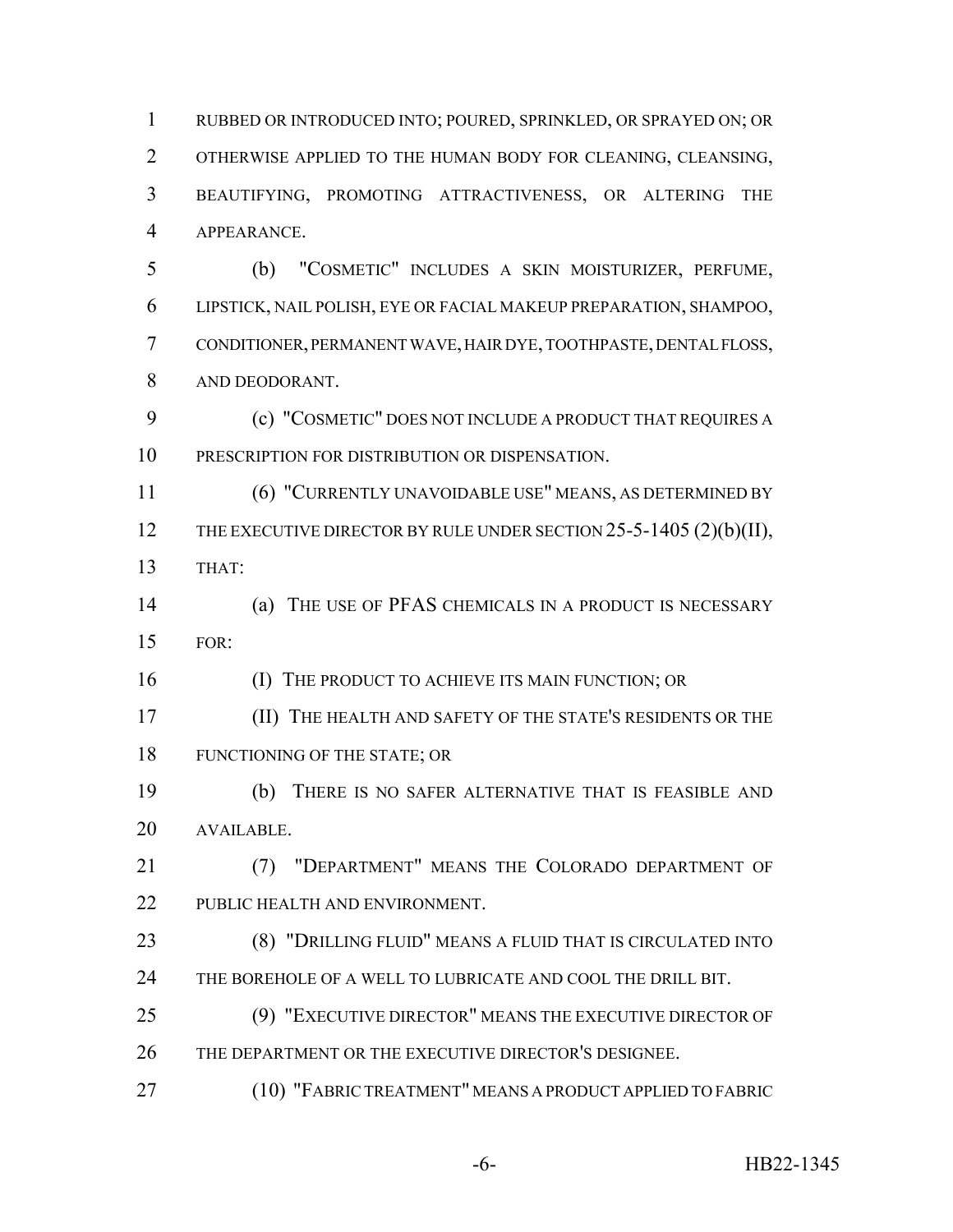RUBBED OR INTRODUCED INTO; POURED, SPRINKLED, OR SPRAYED ON; OR OTHERWISE APPLIED TO THE HUMAN BODY FOR CLEANING, CLEANSING, BEAUTIFYING, PROMOTING ATTRACTIVENESS, OR ALTERING THE APPEARANCE.

 (b) "COSMETIC" INCLUDES A SKIN MOISTURIZER, PERFUME, LIPSTICK, NAIL POLISH, EYE OR FACIAL MAKEUP PREPARATION, SHAMPOO, CONDITIONER, PERMANENT WAVE, HAIR DYE, TOOTHPASTE, DENTAL FLOSS, AND DEODORANT.

 (c) "COSMETIC" DOES NOT INCLUDE A PRODUCT THAT REQUIRES A PRESCRIPTION FOR DISTRIBUTION OR DISPENSATION.

 (6) "CURRENTLY UNAVOIDABLE USE" MEANS, AS DETERMINED BY 12 THE EXECUTIVE DIRECTOR BY RULE UNDER SECTION 25-5-1405 (2)(b)(II), THAT:

 (a) THE USE OF PFAS CHEMICALS IN A PRODUCT IS NECESSARY FOR:

**(I) THE PRODUCT TO ACHIEVE ITS MAIN FUNCTION; OR** 

 (II) THE HEALTH AND SAFETY OF THE STATE'S RESIDENTS OR THE 18 FUNCTIONING OF THE STATE; OR

 (b) THERE IS NO SAFER ALTERNATIVE THAT IS FEASIBLE AND AVAILABLE.

 (7) "DEPARTMENT" MEANS THE COLORADO DEPARTMENT OF PUBLIC HEALTH AND ENVIRONMENT.

 (8) "DRILLING FLUID" MEANS A FLUID THAT IS CIRCULATED INTO 24 THE BOREHOLE OF A WELL TO LUBRICATE AND COOL THE DRILL BIT.

 (9) "EXECUTIVE DIRECTOR" MEANS THE EXECUTIVE DIRECTOR OF THE DEPARTMENT OR THE EXECUTIVE DIRECTOR'S DESIGNEE.

(10) "FABRIC TREATMENT" MEANS A PRODUCT APPLIED TO FABRIC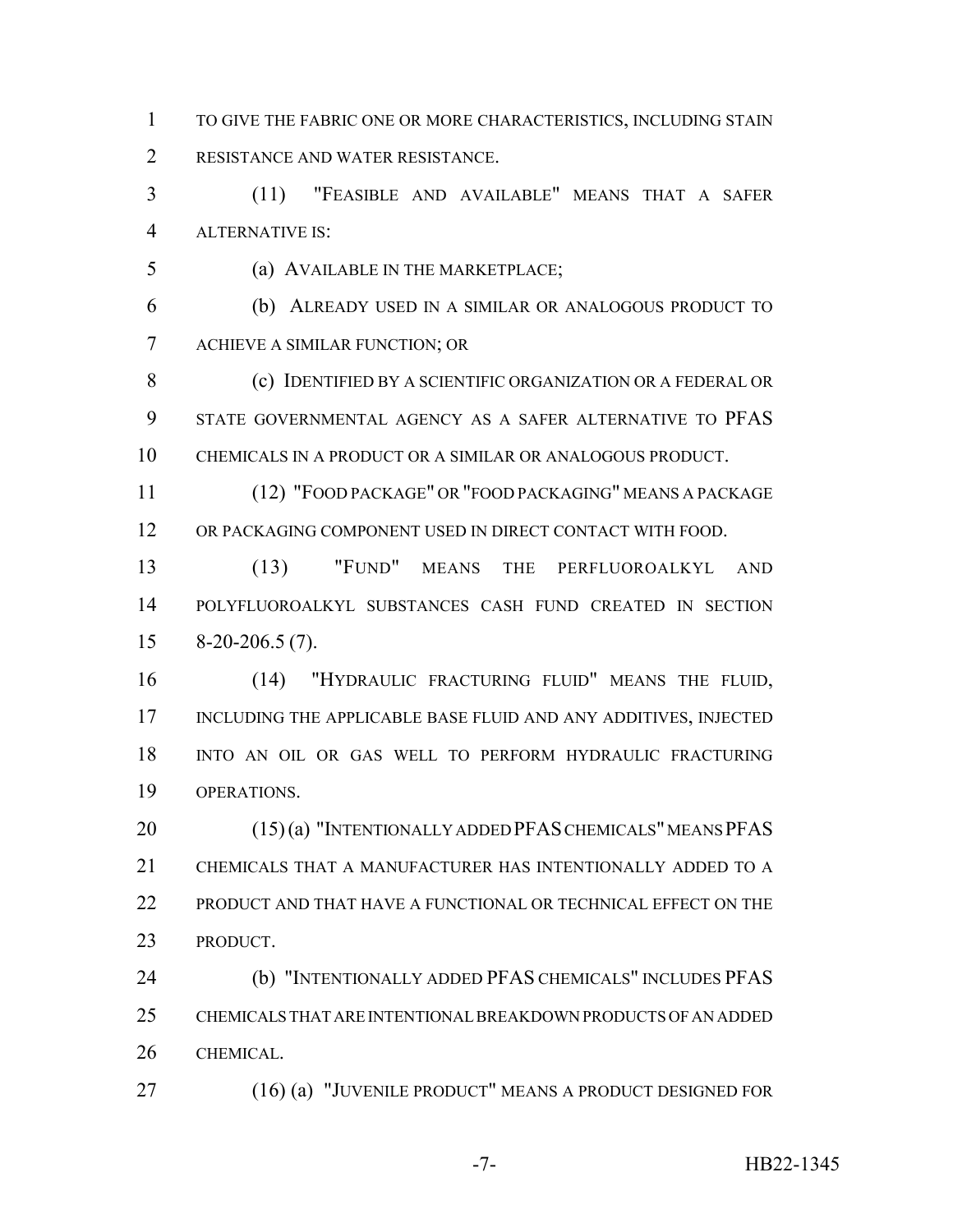TO GIVE THE FABRIC ONE OR MORE CHARACTERISTICS, INCLUDING STAIN RESISTANCE AND WATER RESISTANCE.

 (11) "FEASIBLE AND AVAILABLE" MEANS THAT A SAFER ALTERNATIVE IS:

(a) AVAILABLE IN THE MARKETPLACE;

 (b) ALREADY USED IN A SIMILAR OR ANALOGOUS PRODUCT TO ACHIEVE A SIMILAR FUNCTION; OR

 (c) IDENTIFIED BY A SCIENTIFIC ORGANIZATION OR A FEDERAL OR STATE GOVERNMENTAL AGENCY AS A SAFER ALTERNATIVE TO PFAS CHEMICALS IN A PRODUCT OR A SIMILAR OR ANALOGOUS PRODUCT.

 (12) "FOOD PACKAGE" OR "FOOD PACKAGING" MEANS A PACKAGE OR PACKAGING COMPONENT USED IN DIRECT CONTACT WITH FOOD.

 (13) "FUND" MEANS THE PERFLUOROALKYL AND POLYFLUOROALKYL SUBSTANCES CASH FUND CREATED IN SECTION 8-20-206.5 (7).

 (14) "HYDRAULIC FRACTURING FLUID" MEANS THE FLUID, 17 INCLUDING THE APPLICABLE BASE FLUID AND ANY ADDITIVES, INJECTED INTO AN OIL OR GAS WELL TO PERFORM HYDRAULIC FRACTURING OPERATIONS.

 (15) (a) "INTENTIONALLY ADDED PFAS CHEMICALS" MEANS PFAS CHEMICALS THAT A MANUFACTURER HAS INTENTIONALLY ADDED TO A PRODUCT AND THAT HAVE A FUNCTIONAL OR TECHNICAL EFFECT ON THE PRODUCT.

 (b) "INTENTIONALLY ADDED PFAS CHEMICALS" INCLUDES PFAS CHEMICALS THAT ARE INTENTIONAL BREAKDOWN PRODUCTS OF AN ADDED CHEMICAL.

(16) (a) "JUVENILE PRODUCT" MEANS A PRODUCT DESIGNED FOR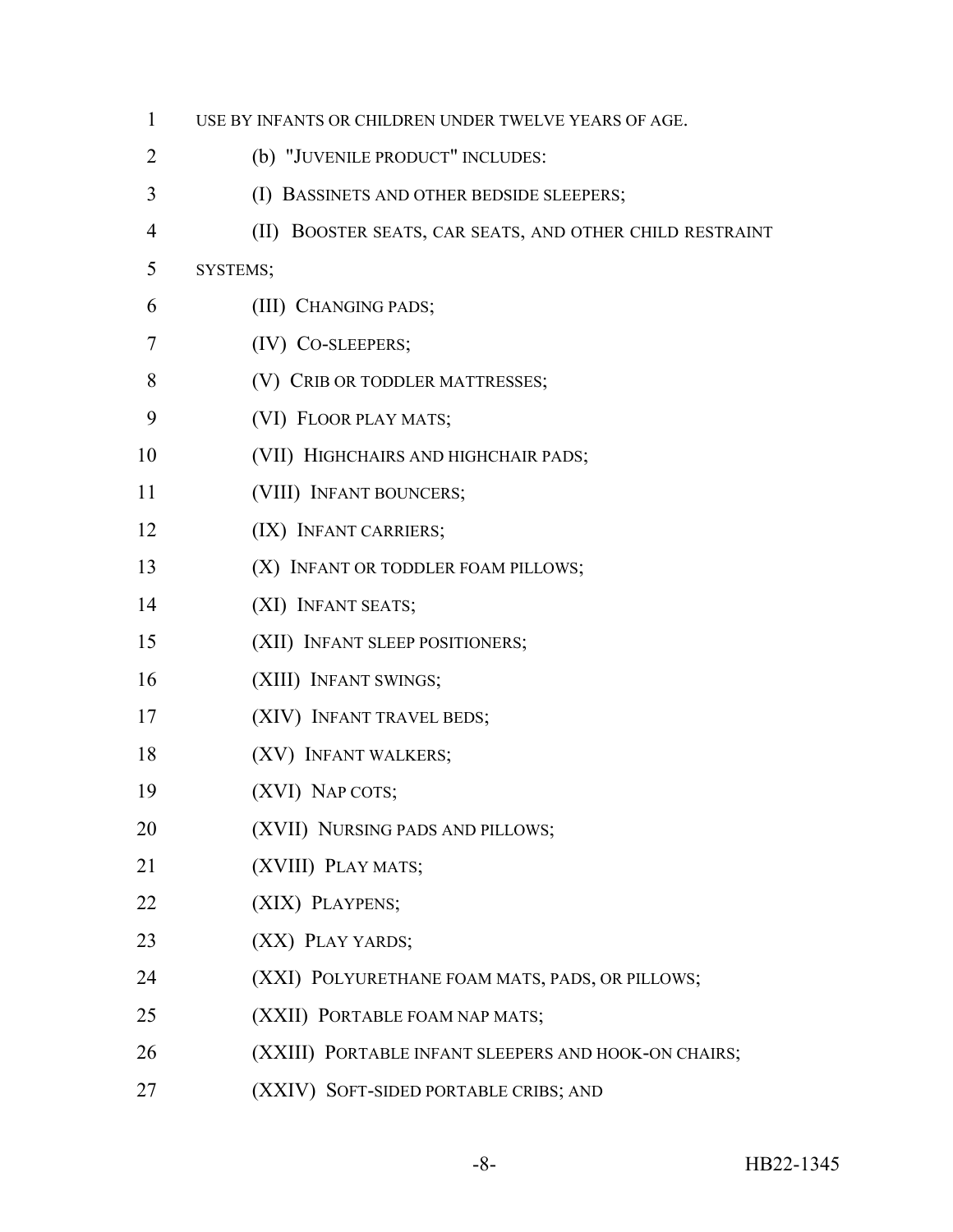| $\mathbf{1}$ | USE BY INFANTS OR CHILDREN UNDER TWELVE YEARS OF AGE.    |  |  |  |  |
|--------------|----------------------------------------------------------|--|--|--|--|
| 2            | (b) "JUVENILE PRODUCT" INCLUDES:                         |  |  |  |  |
| 3            | (I) BASSINETS AND OTHER BEDSIDE SLEEPERS;                |  |  |  |  |
| 4            | (II) BOOSTER SEATS, CAR SEATS, AND OTHER CHILD RESTRAINT |  |  |  |  |
| 5            | SYSTEMS;                                                 |  |  |  |  |
| 6            | (III) CHANGING PADS;                                     |  |  |  |  |
| 7            | (IV) CO-SLEEPERS;                                        |  |  |  |  |
| 8            | (V) CRIB OR TODDLER MATTRESSES;                          |  |  |  |  |
| 9            | (VI) FLOOR PLAY MATS;                                    |  |  |  |  |
| 10           | (VII) HIGHCHAIRS AND HIGHCHAIR PADS;                     |  |  |  |  |
| 11           | (VIII) INFANT BOUNCERS;                                  |  |  |  |  |
| 12           | (IX) INFANT CARRIERS;                                    |  |  |  |  |
| 13           | (X) INFANT OR TODDLER FOAM PILLOWS;                      |  |  |  |  |
| 14           | (XI) INFANT SEATS;                                       |  |  |  |  |
| 15           | (XII) INFANT SLEEP POSITIONERS;                          |  |  |  |  |
| 16           | (XIII) INFANT SWINGS;                                    |  |  |  |  |
| 17           | (XIV) INFANT TRAVEL BEDS;                                |  |  |  |  |
| 18           | (XV) INFANT WALKERS;                                     |  |  |  |  |
| 19           | (XVI) NAP COTS;                                          |  |  |  |  |
| 20           | (XVII) NURSING PADS AND PILLOWS;                         |  |  |  |  |
| 21           | (XVIII) PLAY MATS;                                       |  |  |  |  |
| 22           | (XIX) PLAYPENS;                                          |  |  |  |  |
| 23           | (XX) PLAY YARDS;                                         |  |  |  |  |
| 24           | (XXI) POLYURETHANE FOAM MATS, PADS, OR PILLOWS;          |  |  |  |  |
| 25           | (XXII) PORTABLE FOAM NAP MATS;                           |  |  |  |  |
| 26           | (XXIII) PORTABLE INFANT SLEEPERS AND HOOK-ON CHAIRS;     |  |  |  |  |
| 27           | (XXIV) SOFT-SIDED PORTABLE CRIBS; AND                    |  |  |  |  |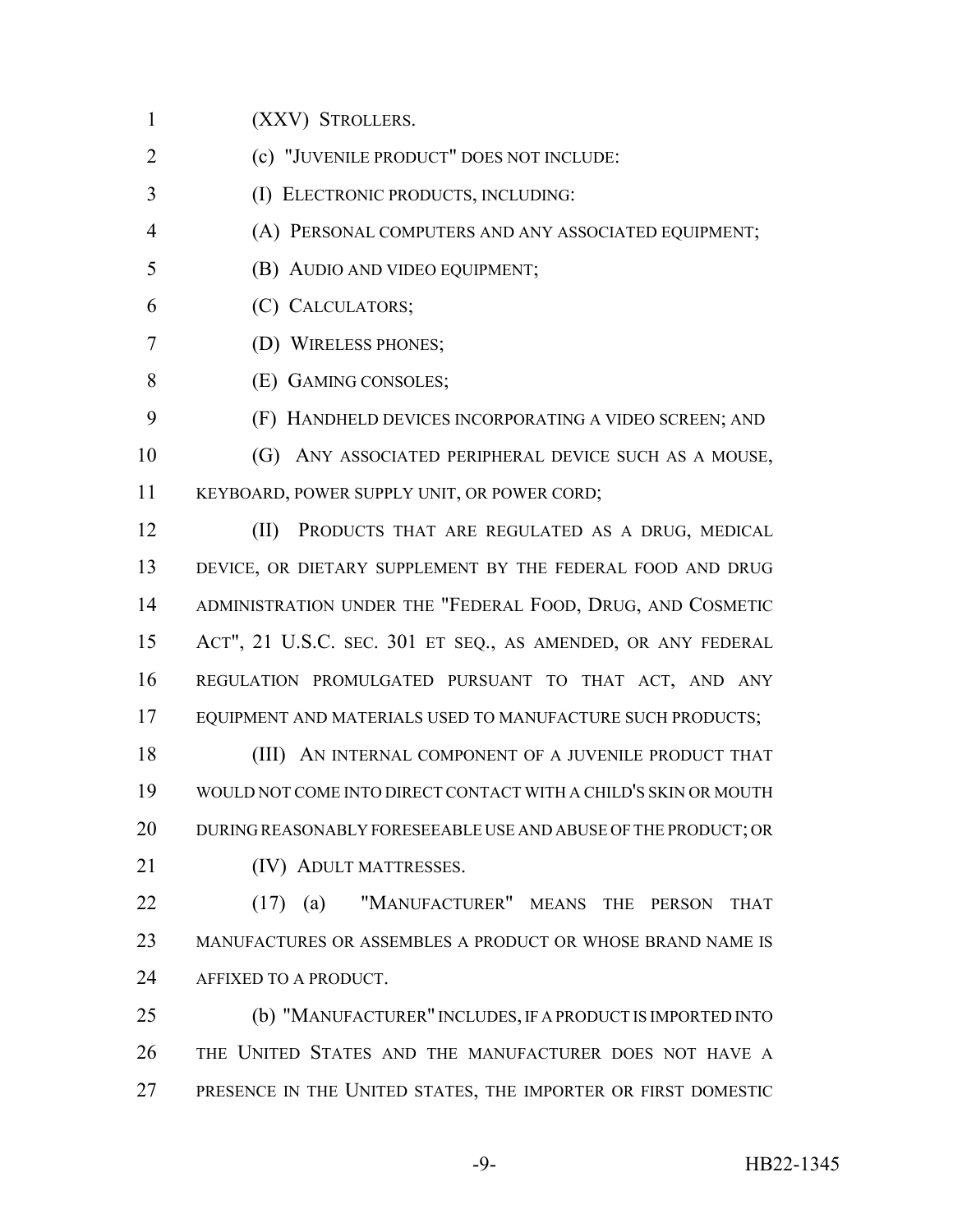(XXV) STROLLERS.

- (c) "JUVENILE PRODUCT" DOES NOT INCLUDE:
- (I) ELECTRONIC PRODUCTS, INCLUDING:
- (A) PERSONAL COMPUTERS AND ANY ASSOCIATED EQUIPMENT;
- (B) AUDIO AND VIDEO EQUIPMENT;
- (C) CALCULATORS;
- (D) WIRELESS PHONES;
- (E) GAMING CONSOLES;
- (F) HANDHELD DEVICES INCORPORATING A VIDEO SCREEN; AND
- (G) ANY ASSOCIATED PERIPHERAL DEVICE SUCH AS A MOUSE,

KEYBOARD, POWER SUPPLY UNIT, OR POWER CORD;

 (II) PRODUCTS THAT ARE REGULATED AS A DRUG, MEDICAL 13 DEVICE, OR DIETARY SUPPLEMENT BY THE FEDERAL FOOD AND DRUG ADMINISTRATION UNDER THE "FEDERAL FOOD, DRUG, AND COSMETIC ACT", 21 U.S.C. SEC. 301 ET SEQ., AS AMENDED, OR ANY FEDERAL REGULATION PROMULGATED PURSUANT TO THAT ACT, AND ANY EQUIPMENT AND MATERIALS USED TO MANUFACTURE SUCH PRODUCTS;

**(III)** AN INTERNAL COMPONENT OF A JUVENILE PRODUCT THAT WOULD NOT COME INTO DIRECT CONTACT WITH A CHILD'S SKIN OR MOUTH DURING REASONABLY FORESEEABLE USE AND ABUSE OF THE PRODUCT; OR 21 (IV) ADULT MATTRESSES.

 (17) (a) "MANUFACTURER" MEANS THE PERSON THAT MANUFACTURES OR ASSEMBLES A PRODUCT OR WHOSE BRAND NAME IS 24 AFFIXED TO A PRODUCT.

 (b) "MANUFACTURER" INCLUDES, IF A PRODUCT IS IMPORTED INTO THE UNITED STATES AND THE MANUFACTURER DOES NOT HAVE A PRESENCE IN THE UNITED STATES, THE IMPORTER OR FIRST DOMESTIC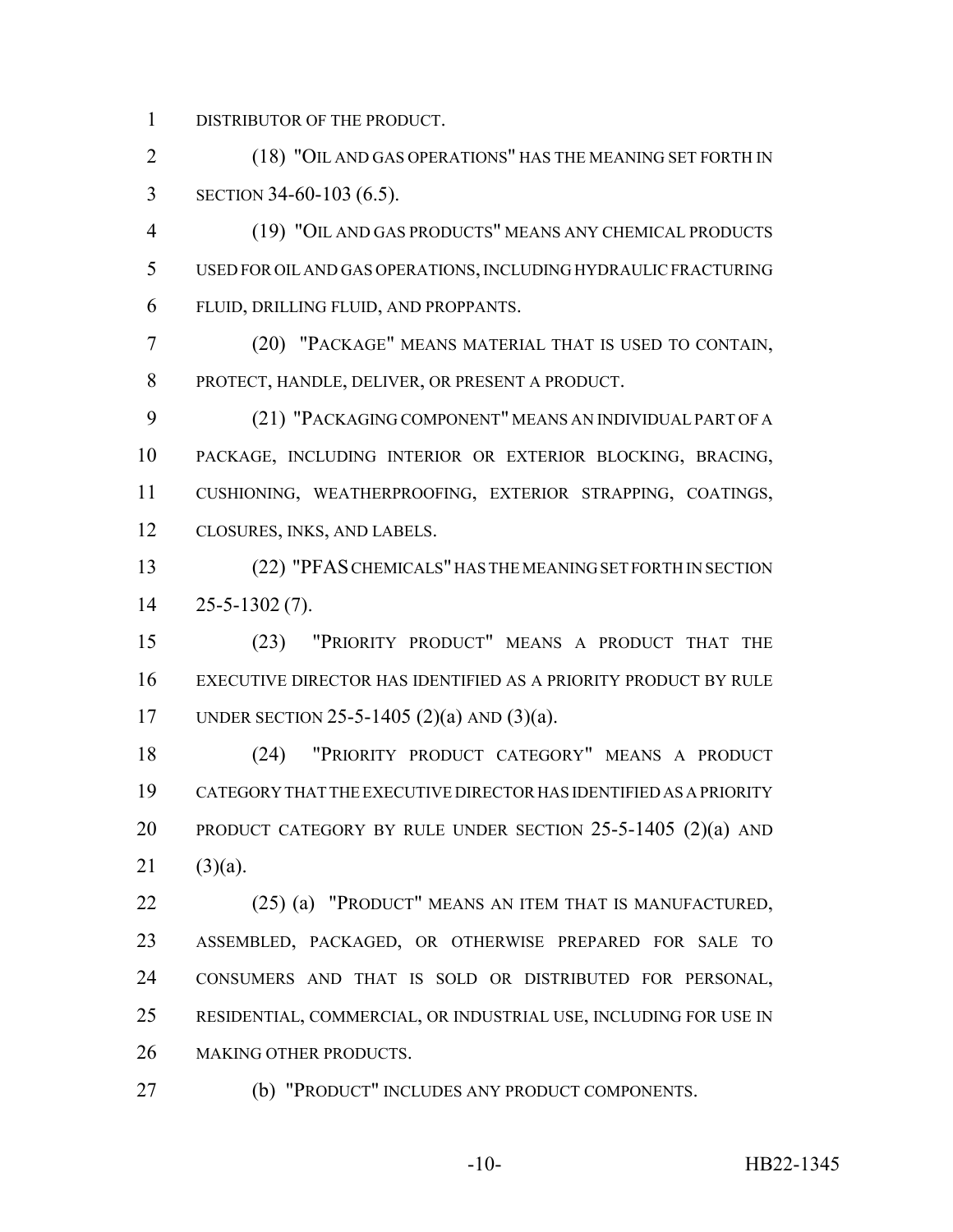DISTRIBUTOR OF THE PRODUCT.

2 (18) "OIL AND GAS OPERATIONS" HAS THE MEANING SET FORTH IN SECTION 34-60-103 (6.5).

 (19) "OIL AND GAS PRODUCTS" MEANS ANY CHEMICAL PRODUCTS USED FOR OIL AND GAS OPERATIONS, INCLUDING HYDRAULIC FRACTURING FLUID, DRILLING FLUID, AND PROPPANTS.

 (20) "PACKAGE" MEANS MATERIAL THAT IS USED TO CONTAIN, PROTECT, HANDLE, DELIVER, OR PRESENT A PRODUCT.

 (21) "PACKAGING COMPONENT" MEANS AN INDIVIDUAL PART OF A PACKAGE, INCLUDING INTERIOR OR EXTERIOR BLOCKING, BRACING, CUSHIONING, WEATHERPROOFING, EXTERIOR STRAPPING, COATINGS, CLOSURES, INKS, AND LABELS.

 (22) "PFAS CHEMICALS" HAS THE MEANING SET FORTH IN SECTION 25-5-1302 (7).

 (23) "PRIORITY PRODUCT" MEANS A PRODUCT THAT THE EXECUTIVE DIRECTOR HAS IDENTIFIED AS A PRIORITY PRODUCT BY RULE UNDER SECTION 25-5-1405 (2)(a) AND (3)(a).

 (24) "PRIORITY PRODUCT CATEGORY" MEANS A PRODUCT CATEGORY THAT THE EXECUTIVE DIRECTOR HAS IDENTIFIED AS A PRIORITY 20 PRODUCT CATEGORY BY RULE UNDER SECTION 25-5-1405 (2)(a) AND (3)(a).

 (25) (a) "PRODUCT" MEANS AN ITEM THAT IS MANUFACTURED, ASSEMBLED, PACKAGED, OR OTHERWISE PREPARED FOR SALE TO CONSUMERS AND THAT IS SOLD OR DISTRIBUTED FOR PERSONAL, RESIDENTIAL, COMMERCIAL, OR INDUSTRIAL USE, INCLUDING FOR USE IN MAKING OTHER PRODUCTS.

(b) "PRODUCT" INCLUDES ANY PRODUCT COMPONENTS.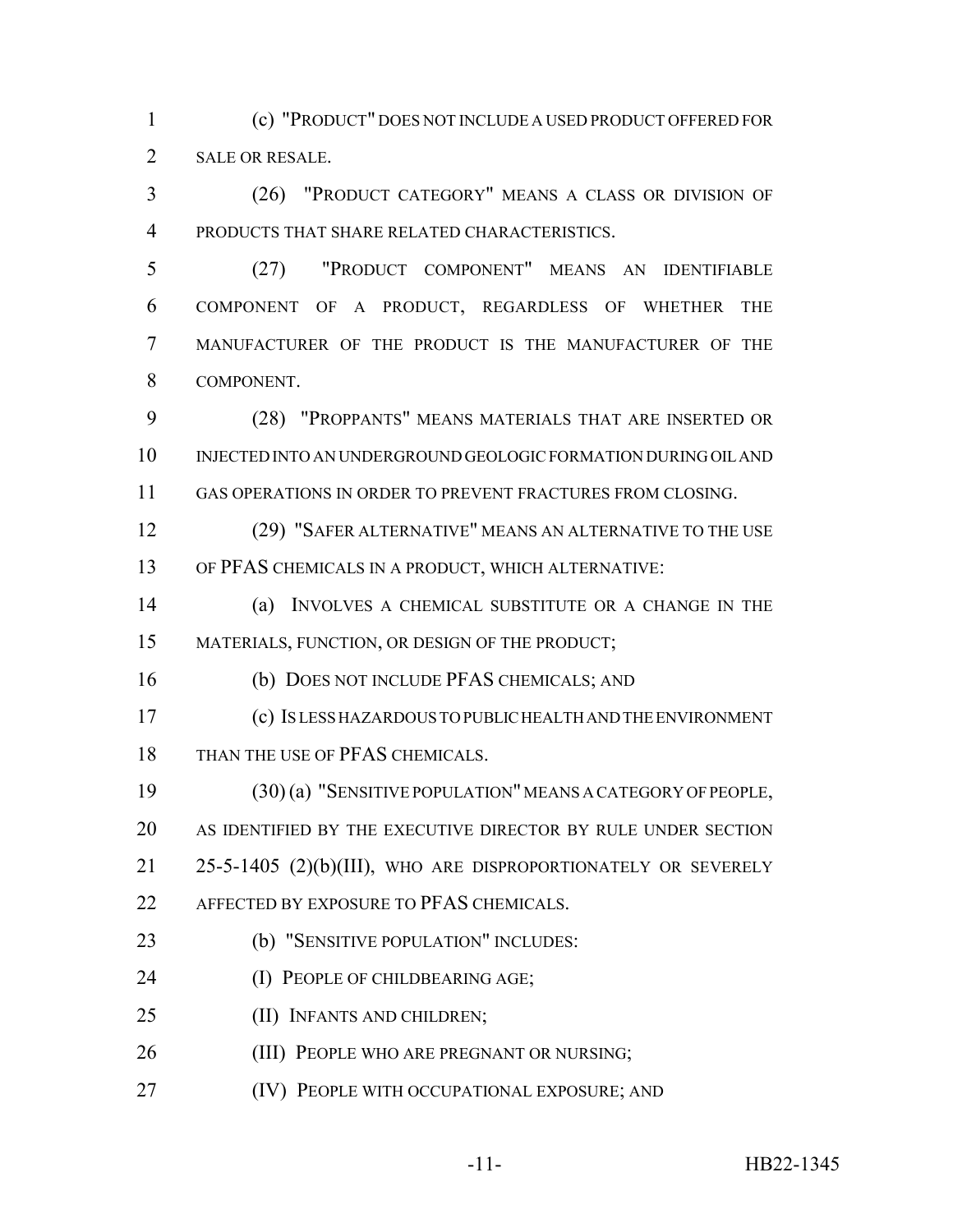(c) "PRODUCT" DOES NOT INCLUDE A USED PRODUCT OFFERED FOR SALE OR RESALE.

 (26) "PRODUCT CATEGORY" MEANS A CLASS OR DIVISION OF PRODUCTS THAT SHARE RELATED CHARACTERISTICS.

 (27) "PRODUCT COMPONENT" MEANS AN IDENTIFIABLE COMPONENT OF A PRODUCT, REGARDLESS OF WHETHER THE MANUFACTURER OF THE PRODUCT IS THE MANUFACTURER OF THE COMPONENT.

 (28) "PROPPANTS" MEANS MATERIALS THAT ARE INSERTED OR INJECTED INTO AN UNDERGROUND GEOLOGIC FORMATION DURING OIL AND GAS OPERATIONS IN ORDER TO PREVENT FRACTURES FROM CLOSING.

 (29) "SAFER ALTERNATIVE" MEANS AN ALTERNATIVE TO THE USE OF PFAS CHEMICALS IN A PRODUCT, WHICH ALTERNATIVE:

 (a) INVOLVES A CHEMICAL SUBSTITUTE OR A CHANGE IN THE MATERIALS, FUNCTION, OR DESIGN OF THE PRODUCT;

(b) DOES NOT INCLUDE PFAS CHEMICALS; AND

 (c) IS LESS HAZARDOUS TO PUBLIC HEALTH AND THE ENVIRONMENT 18 THAN THE USE OF PFAS CHEMICALS.

 (30) (a) "SENSITIVE POPULATION" MEANS A CATEGORY OF PEOPLE, AS IDENTIFIED BY THE EXECUTIVE DIRECTOR BY RULE UNDER SECTION 25-5-1405 (2)(b)(III), WHO ARE DISPROPORTIONATELY OR SEVERELY 22 AFFECTED BY EXPOSURE TO PFAS CHEMICALS.

(b) "SENSITIVE POPULATION" INCLUDES:

**(I) PEOPLE OF CHILDBEARING AGE;** 

(II) INFANTS AND CHILDREN;

**(III) PEOPLE WHO ARE PREGNANT OR NURSING;** 

(IV) PEOPLE WITH OCCUPATIONAL EXPOSURE; AND

-11- HB22-1345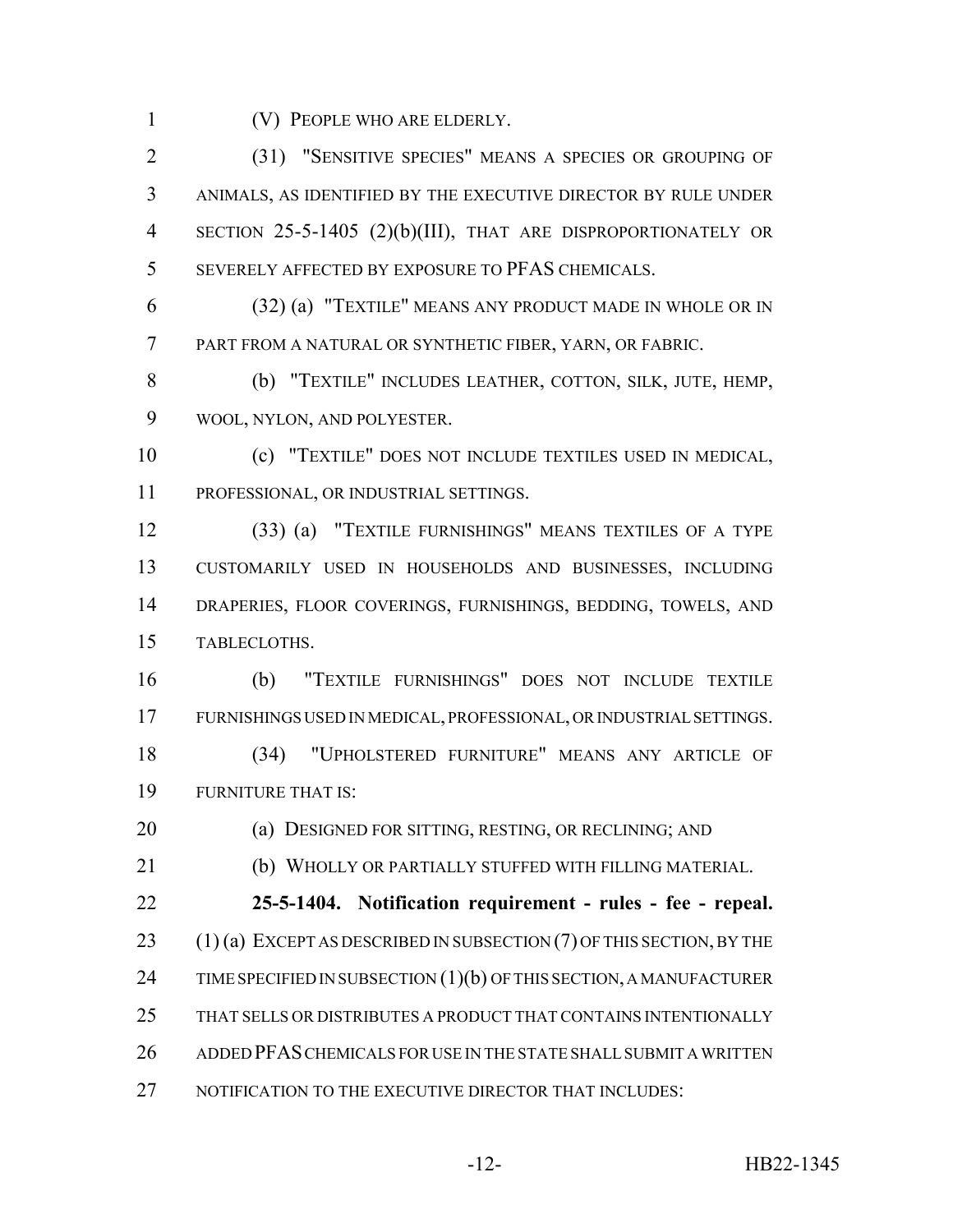(V) PEOPLE WHO ARE ELDERLY.

 (31) "SENSITIVE SPECIES" MEANS A SPECIES OR GROUPING OF ANIMALS, AS IDENTIFIED BY THE EXECUTIVE DIRECTOR BY RULE UNDER SECTION 25-5-1405 (2)(b)(III), THAT ARE DISPROPORTIONATELY OR SEVERELY AFFECTED BY EXPOSURE TO PFAS CHEMICALS.

 (32) (a) "TEXTILE" MEANS ANY PRODUCT MADE IN WHOLE OR IN PART FROM A NATURAL OR SYNTHETIC FIBER, YARN, OR FABRIC.

 (b) "TEXTILE" INCLUDES LEATHER, COTTON, SILK, JUTE, HEMP, WOOL, NYLON, AND POLYESTER.

 (c) "TEXTILE" DOES NOT INCLUDE TEXTILES USED IN MEDICAL, PROFESSIONAL, OR INDUSTRIAL SETTINGS.

 (33) (a) "TEXTILE FURNISHINGS" MEANS TEXTILES OF A TYPE CUSTOMARILY USED IN HOUSEHOLDS AND BUSINESSES, INCLUDING DRAPERIES, FLOOR COVERINGS, FURNISHINGS, BEDDING, TOWELS, AND TABLECLOTHS.

 (b) "TEXTILE FURNISHINGS" DOES NOT INCLUDE TEXTILE FURNISHINGS USED IN MEDICAL, PROFESSIONAL, OR INDUSTRIAL SETTINGS. (34) "UPHOLSTERED FURNITURE" MEANS ANY ARTICLE OF

FURNITURE THAT IS:

**(a) DESIGNED FOR SITTING, RESTING, OR RECLINING; AND** 

(b) WHOLLY OR PARTIALLY STUFFED WITH FILLING MATERIAL.

 **25-5-1404. Notification requirement - rules - fee - repeal.** 23 (1) (a) EXCEPT AS DESCRIBED IN SUBSECTION (7) OF THIS SECTION, BY THE 24 TIME SPECIFIED IN SUBSECTION (1)(b) OF THIS SECTION, A MANUFACTURER THAT SELLS OR DISTRIBUTES A PRODUCT THAT CONTAINS INTENTIONALLY ADDED PFAS CHEMICALS FOR USE IN THE STATE SHALL SUBMIT A WRITTEN 27 NOTIFICATION TO THE EXECUTIVE DIRECTOR THAT INCLUDES: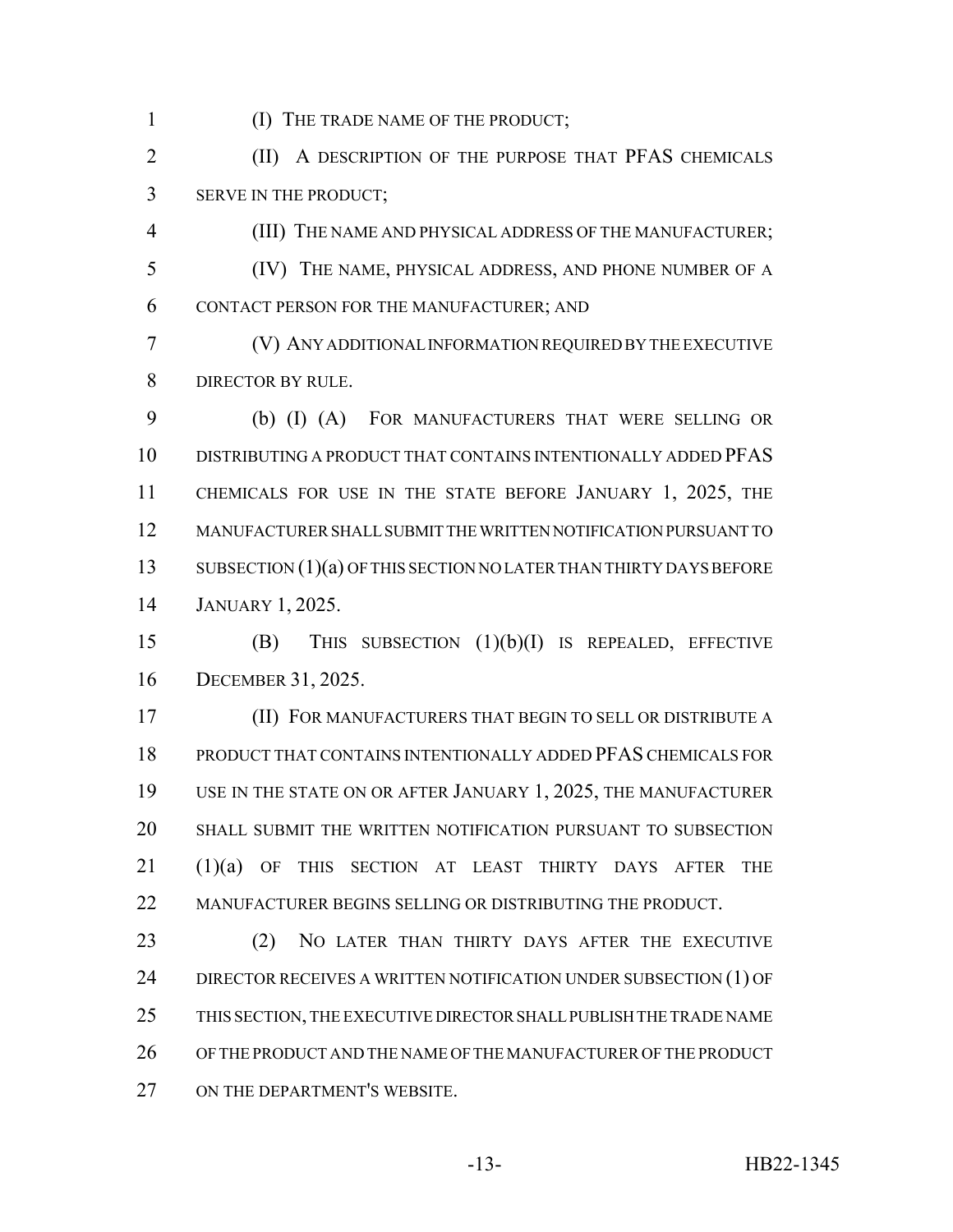1 (I) THE TRADE NAME OF THE PRODUCT;

**(II)** A DESCRIPTION OF THE PURPOSE THAT PFAS CHEMICALS SERVE IN THE PRODUCT;

 (III) THE NAME AND PHYSICAL ADDRESS OF THE MANUFACTURER; (IV) THE NAME, PHYSICAL ADDRESS, AND PHONE NUMBER OF A CONTACT PERSON FOR THE MANUFACTURER; AND

 (V) ANY ADDITIONAL INFORMATION REQUIRED BY THE EXECUTIVE DIRECTOR BY RULE.

 (b) (I) (A) FOR MANUFACTURERS THAT WERE SELLING OR DISTRIBUTING A PRODUCT THAT CONTAINS INTENTIONALLY ADDED PFAS CHEMICALS FOR USE IN THE STATE BEFORE JANUARY 1, 2025, THE MANUFACTURER SHALL SUBMIT THE WRITTEN NOTIFICATION PURSUANT TO 13 SUBSECTION (1)(a) OF THIS SECTION NO LATER THAN THIRTY DAYS BEFORE JANUARY 1, 2025.

 (B) THIS SUBSECTION (1)(b)(I) IS REPEALED, EFFECTIVE DECEMBER 31, 2025.

 (II) FOR MANUFACTURERS THAT BEGIN TO SELL OR DISTRIBUTE A PRODUCT THAT CONTAINS INTENTIONALLY ADDED PFAS CHEMICALS FOR USE IN THE STATE ON OR AFTER JANUARY 1, 2025, THE MANUFACTURER SHALL SUBMIT THE WRITTEN NOTIFICATION PURSUANT TO SUBSECTION (1)(a) OF THIS SECTION AT LEAST THIRTY DAYS AFTER THE 22 MANUFACTURER BEGINS SELLING OR DISTRIBUTING THE PRODUCT.

23 (2) NO LATER THAN THIRTY DAYS AFTER THE EXECUTIVE 24 DIRECTOR RECEIVES A WRITTEN NOTIFICATION UNDER SUBSECTION (1) OF THIS SECTION, THE EXECUTIVE DIRECTOR SHALL PUBLISH THE TRADE NAME OF THE PRODUCT AND THE NAME OF THE MANUFACTURER OF THE PRODUCT 27 ON THE DEPARTMENT'S WEBSITE.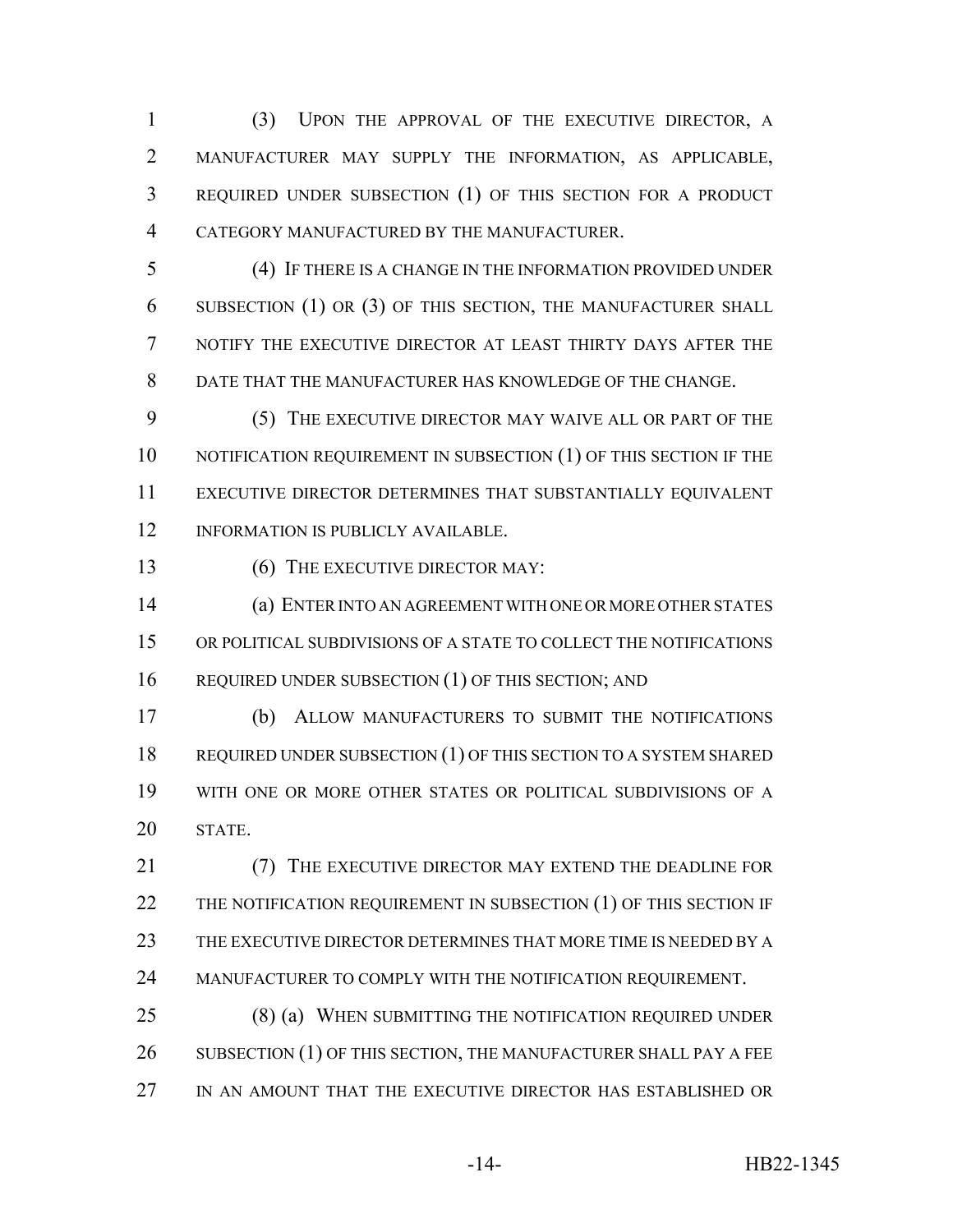(3) UPON THE APPROVAL OF THE EXECUTIVE DIRECTOR, A MANUFACTURER MAY SUPPLY THE INFORMATION, AS APPLICABLE, REQUIRED UNDER SUBSECTION (1) OF THIS SECTION FOR A PRODUCT CATEGORY MANUFACTURED BY THE MANUFACTURER.

 (4) IF THERE IS A CHANGE IN THE INFORMATION PROVIDED UNDER SUBSECTION (1) OR (3) OF THIS SECTION, THE MANUFACTURER SHALL NOTIFY THE EXECUTIVE DIRECTOR AT LEAST THIRTY DAYS AFTER THE DATE THAT THE MANUFACTURER HAS KNOWLEDGE OF THE CHANGE.

 (5) THE EXECUTIVE DIRECTOR MAY WAIVE ALL OR PART OF THE 10 NOTIFICATION REQUIREMENT IN SUBSECTION (1) OF THIS SECTION IF THE EXECUTIVE DIRECTOR DETERMINES THAT SUBSTANTIALLY EQUIVALENT 12 INFORMATION IS PUBLICLY AVAILABLE.

13 (6) THE EXECUTIVE DIRECTOR MAY:

 (a) ENTER INTO AN AGREEMENT WITH ONE OR MORE OTHER STATES OR POLITICAL SUBDIVISIONS OF A STATE TO COLLECT THE NOTIFICATIONS 16 REQUIRED UNDER SUBSECTION (1) OF THIS SECTION; AND

 (b) ALLOW MANUFACTURERS TO SUBMIT THE NOTIFICATIONS REQUIRED UNDER SUBSECTION (1) OF THIS SECTION TO A SYSTEM SHARED WITH ONE OR MORE OTHER STATES OR POLITICAL SUBDIVISIONS OF A STATE.

 (7) THE EXECUTIVE DIRECTOR MAY EXTEND THE DEADLINE FOR 22 THE NOTIFICATION REQUIREMENT IN SUBSECTION (1) OF THIS SECTION IF THE EXECUTIVE DIRECTOR DETERMINES THAT MORE TIME IS NEEDED BY A MANUFACTURER TO COMPLY WITH THE NOTIFICATION REQUIREMENT.

 (8) (a) WHEN SUBMITTING THE NOTIFICATION REQUIRED UNDER 26 SUBSECTION (1) OF THIS SECTION, THE MANUFACTURER SHALL PAY A FEE IN AN AMOUNT THAT THE EXECUTIVE DIRECTOR HAS ESTABLISHED OR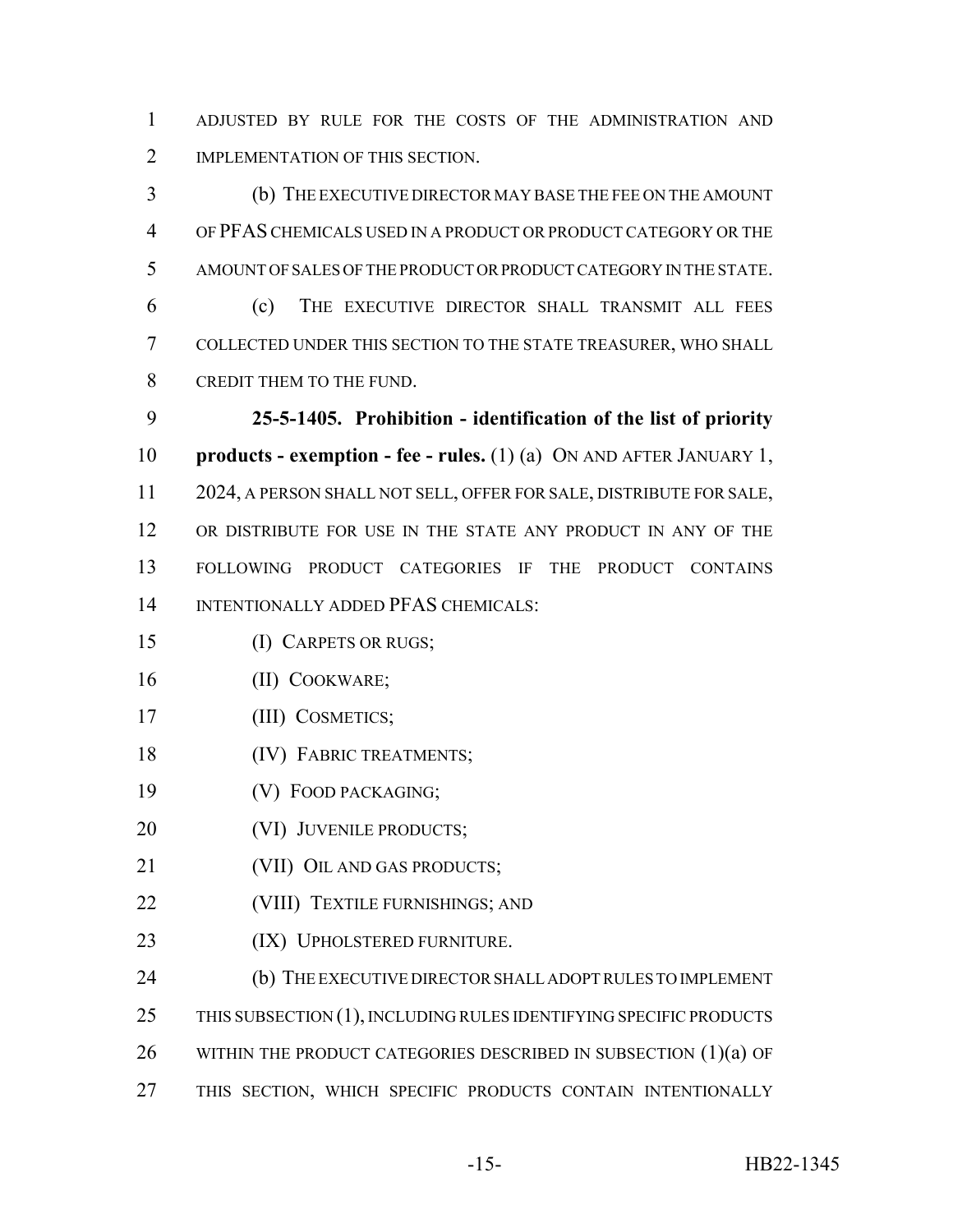ADJUSTED BY RULE FOR THE COSTS OF THE ADMINISTRATION AND 2 IMPLEMENTATION OF THIS SECTION.

 (b) THE EXECUTIVE DIRECTOR MAY BASE THE FEE ON THE AMOUNT OF PFAS CHEMICALS USED IN A PRODUCT OR PRODUCT CATEGORY OR THE AMOUNT OF SALES OF THE PRODUCT OR PRODUCT CATEGORY IN THE STATE.

 (c) THE EXECUTIVE DIRECTOR SHALL TRANSMIT ALL FEES COLLECTED UNDER THIS SECTION TO THE STATE TREASURER, WHO SHALL CREDIT THEM TO THE FUND.

 **25-5-1405. Prohibition - identification of the list of priority products - exemption - fee - rules.** (1) (a) ON AND AFTER JANUARY 1, 2024, A PERSON SHALL NOT SELL, OFFER FOR SALE, DISTRIBUTE FOR SALE, OR DISTRIBUTE FOR USE IN THE STATE ANY PRODUCT IN ANY OF THE FOLLOWING PRODUCT CATEGORIES IF THE PRODUCT CONTAINS INTENTIONALLY ADDED PFAS CHEMICALS:

- (I) CARPETS OR RUGS;
- (II) COOKWARE;
- (III) COSMETICS;
- 18 (IV) FABRIC TREATMENTS;
- (V) FOOD PACKAGING;
- 20 (VI) JUVENILE PRODUCTS;
- 21 (VII) OIL AND GAS PRODUCTS;
- **(VIII) TEXTILE FURNISHINGS; AND**
- 23 (IX) UPHOLSTERED FURNITURE.
- 24 (b) THE EXECUTIVE DIRECTOR SHALL ADOPT RULES TO IMPLEMENT
- 25 THIS SUBSECTION (1), INCLUDING RULES IDENTIFYING SPECIFIC PRODUCTS
- 26 WITHIN THE PRODUCT CATEGORIES DESCRIBED IN SUBSECTION  $(1)(a)$  OF
- THIS SECTION, WHICH SPECIFIC PRODUCTS CONTAIN INTENTIONALLY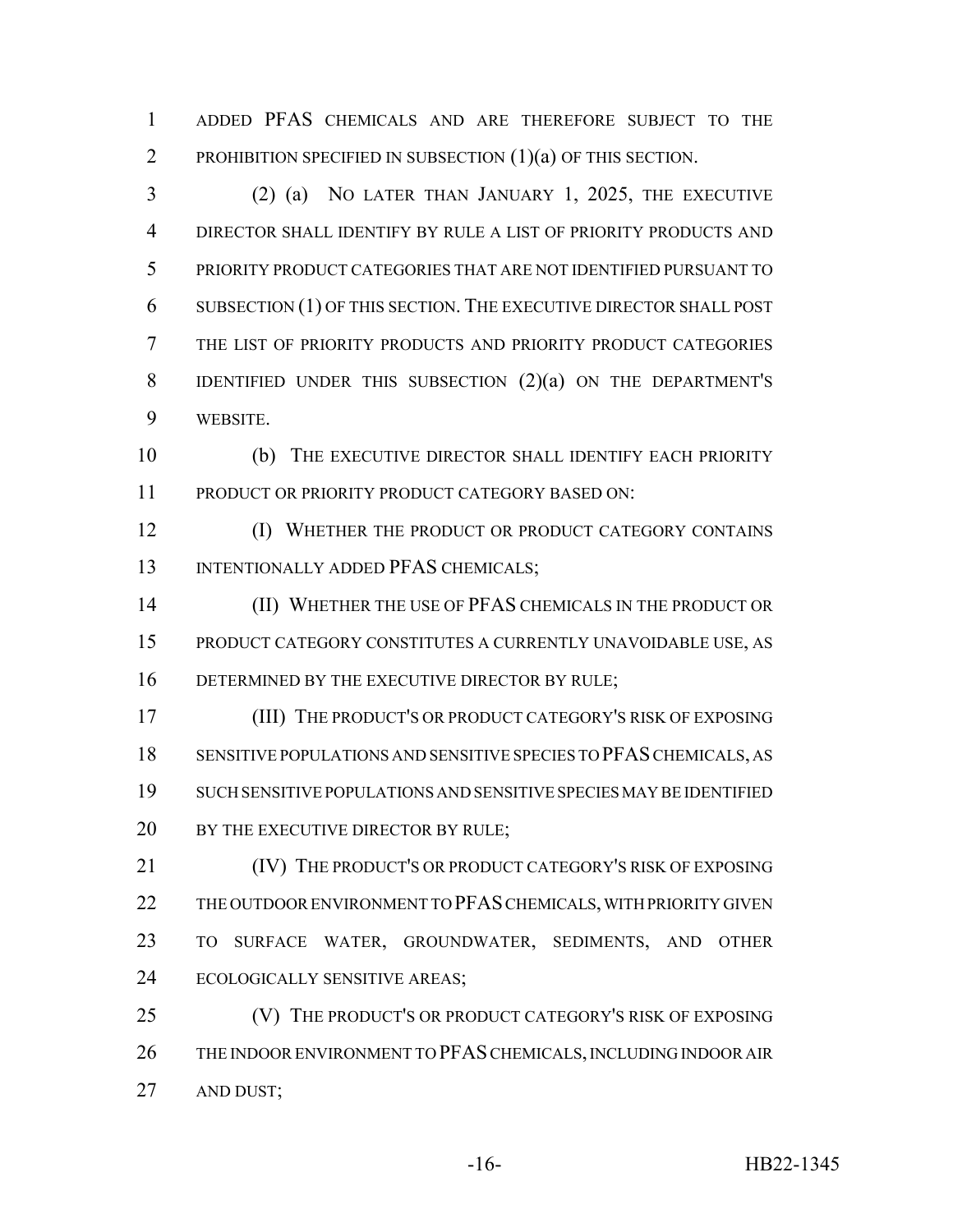ADDED PFAS CHEMICALS AND ARE THEREFORE SUBJECT TO THE 2 PROHIBITION SPECIFIED IN SUBSECTION (1)(a) OF THIS SECTION.

 (2) (a) NO LATER THAN JANUARY 1, 2025, THE EXECUTIVE DIRECTOR SHALL IDENTIFY BY RULE A LIST OF PRIORITY PRODUCTS AND PRIORITY PRODUCT CATEGORIES THAT ARE NOT IDENTIFIED PURSUANT TO SUBSECTION (1) OF THIS SECTION. THE EXECUTIVE DIRECTOR SHALL POST THE LIST OF PRIORITY PRODUCTS AND PRIORITY PRODUCT CATEGORIES IDENTIFIED UNDER THIS SUBSECTION (2)(a) ON THE DEPARTMENT'S WEBSITE.

 (b) THE EXECUTIVE DIRECTOR SHALL IDENTIFY EACH PRIORITY PRODUCT OR PRIORITY PRODUCT CATEGORY BASED ON:

**(I) WHETHER THE PRODUCT OR PRODUCT CATEGORY CONTAINS** 13 INTENTIONALLY ADDED PFAS CHEMICALS;

 (II) WHETHER THE USE OF PFAS CHEMICALS IN THE PRODUCT OR PRODUCT CATEGORY CONSTITUTES A CURRENTLY UNAVOIDABLE USE, AS 16 DETERMINED BY THE EXECUTIVE DIRECTOR BY RULE;

 (III) THE PRODUCT'S OR PRODUCT CATEGORY'S RISK OF EXPOSING SENSITIVE POPULATIONS AND SENSITIVE SPECIES TO PFAS CHEMICALS, AS SUCH SENSITIVE POPULATIONS AND SENSITIVE SPECIES MAY BE IDENTIFIED 20 BY THE EXECUTIVE DIRECTOR BY RULE;

 (IV) THE PRODUCT'S OR PRODUCT CATEGORY'S RISK OF EXPOSING 22 THE OUTDOOR ENVIRONMENT TO PFAS CHEMICALS, WITH PRIORITY GIVEN TO SURFACE WATER, GROUNDWATER, SEDIMENTS, AND OTHER ECOLOGICALLY SENSITIVE AREAS;

 (V) THE PRODUCT'S OR PRODUCT CATEGORY'S RISK OF EXPOSING THE INDOOR ENVIRONMENT TO PFAS CHEMICALS, INCLUDING INDOOR AIR AND DUST;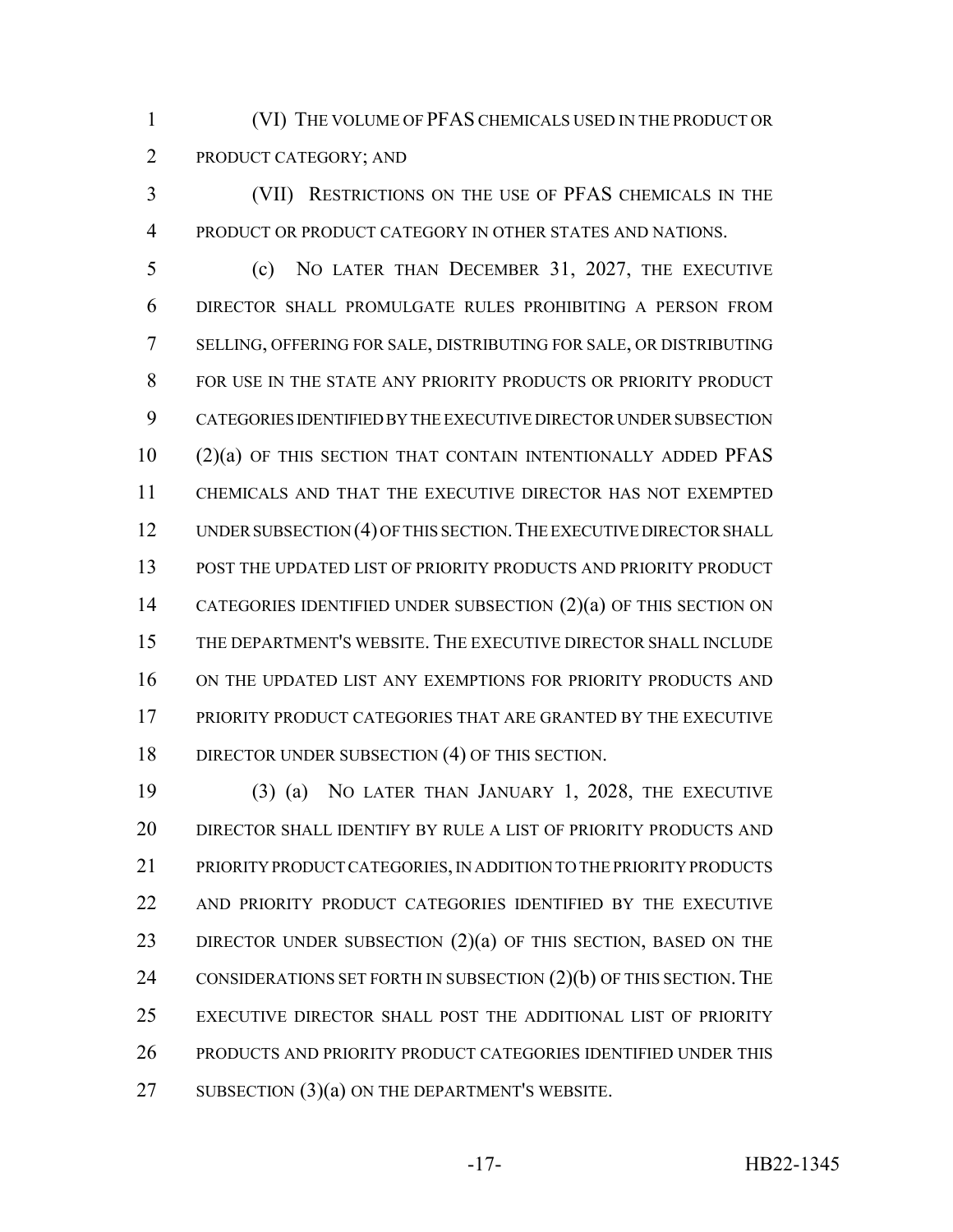(VI) THE VOLUME OF PFAS CHEMICALS USED IN THE PRODUCT OR PRODUCT CATEGORY; AND

 (VII) RESTRICTIONS ON THE USE OF PFAS CHEMICALS IN THE PRODUCT OR PRODUCT CATEGORY IN OTHER STATES AND NATIONS.

 (c) NO LATER THAN DECEMBER 31, 2027, THE EXECUTIVE DIRECTOR SHALL PROMULGATE RULES PROHIBITING A PERSON FROM SELLING, OFFERING FOR SALE, DISTRIBUTING FOR SALE, OR DISTRIBUTING 8 FOR USE IN THE STATE ANY PRIORITY PRODUCTS OR PRIORITY PRODUCT CATEGORIES IDENTIFIED BY THE EXECUTIVE DIRECTOR UNDER SUBSECTION (2)(a) OF THIS SECTION THAT CONTAIN INTENTIONALLY ADDED PFAS CHEMICALS AND THAT THE EXECUTIVE DIRECTOR HAS NOT EXEMPTED 12 UNDER SUBSECTION (4) OF THIS SECTION. THE EXECUTIVE DIRECTOR SHALL POST THE UPDATED LIST OF PRIORITY PRODUCTS AND PRIORITY PRODUCT 14 CATEGORIES IDENTIFIED UNDER SUBSECTION (2)(a) OF THIS SECTION ON THE DEPARTMENT'S WEBSITE. THE EXECUTIVE DIRECTOR SHALL INCLUDE ON THE UPDATED LIST ANY EXEMPTIONS FOR PRIORITY PRODUCTS AND PRIORITY PRODUCT CATEGORIES THAT ARE GRANTED BY THE EXECUTIVE 18 DIRECTOR UNDER SUBSECTION (4) OF THIS SECTION.

 (3) (a) NO LATER THAN JANUARY 1, 2028, THE EXECUTIVE DIRECTOR SHALL IDENTIFY BY RULE A LIST OF PRIORITY PRODUCTS AND PRIORITY PRODUCT CATEGORIES, IN ADDITION TO THE PRIORITY PRODUCTS AND PRIORITY PRODUCT CATEGORIES IDENTIFIED BY THE EXECUTIVE 23 DIRECTOR UNDER SUBSECTION (2)(a) OF THIS SECTION, BASED ON THE 24 CONSIDERATIONS SET FORTH IN SUBSECTION  $(2)(b)$  OF THIS SECTION. THE EXECUTIVE DIRECTOR SHALL POST THE ADDITIONAL LIST OF PRIORITY PRODUCTS AND PRIORITY PRODUCT CATEGORIES IDENTIFIED UNDER THIS 27 SUBSECTION (3)(a) ON THE DEPARTMENT'S WEBSITE.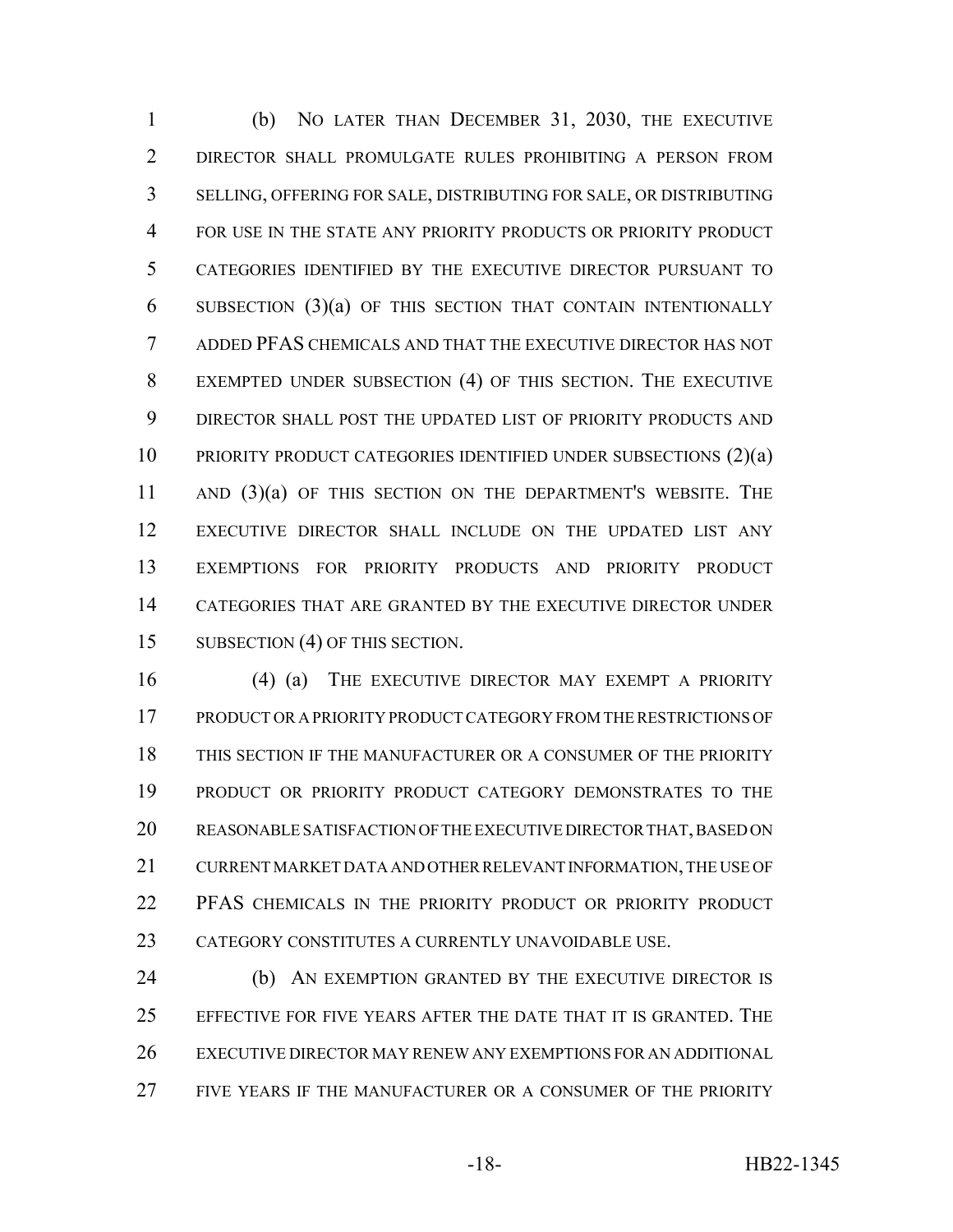(b) NO LATER THAN DECEMBER 31, 2030, THE EXECUTIVE DIRECTOR SHALL PROMULGATE RULES PROHIBITING A PERSON FROM SELLING, OFFERING FOR SALE, DISTRIBUTING FOR SALE, OR DISTRIBUTING FOR USE IN THE STATE ANY PRIORITY PRODUCTS OR PRIORITY PRODUCT CATEGORIES IDENTIFIED BY THE EXECUTIVE DIRECTOR PURSUANT TO SUBSECTION (3)(a) OF THIS SECTION THAT CONTAIN INTENTIONALLY ADDED PFAS CHEMICALS AND THAT THE EXECUTIVE DIRECTOR HAS NOT EXEMPTED UNDER SUBSECTION (4) OF THIS SECTION. THE EXECUTIVE DIRECTOR SHALL POST THE UPDATED LIST OF PRIORITY PRODUCTS AND PRIORITY PRODUCT CATEGORIES IDENTIFIED UNDER SUBSECTIONS (2)(a) 11 AND (3)(a) OF THIS SECTION ON THE DEPARTMENT'S WEBSITE. THE EXECUTIVE DIRECTOR SHALL INCLUDE ON THE UPDATED LIST ANY EXEMPTIONS FOR PRIORITY PRODUCTS AND PRIORITY PRODUCT CATEGORIES THAT ARE GRANTED BY THE EXECUTIVE DIRECTOR UNDER 15 SUBSECTION (4) OF THIS SECTION.

16 (4) (a) THE EXECUTIVE DIRECTOR MAY EXEMPT A PRIORITY PRODUCT OR A PRIORITY PRODUCT CATEGORY FROM THE RESTRICTIONS OF THIS SECTION IF THE MANUFACTURER OR A CONSUMER OF THE PRIORITY PRODUCT OR PRIORITY PRODUCT CATEGORY DEMONSTRATES TO THE REASONABLE SATISFACTION OF THE EXECUTIVE DIRECTOR THAT, BASED ON CURRENT MARKET DATA AND OTHER RELEVANT INFORMATION, THE USE OF PFAS CHEMICALS IN THE PRIORITY PRODUCT OR PRIORITY PRODUCT CATEGORY CONSTITUTES A CURRENTLY UNAVOIDABLE USE.

 (b) AN EXEMPTION GRANTED BY THE EXECUTIVE DIRECTOR IS EFFECTIVE FOR FIVE YEARS AFTER THE DATE THAT IT IS GRANTED. THE EXECUTIVE DIRECTOR MAY RENEW ANY EXEMPTIONS FOR AN ADDITIONAL FIVE YEARS IF THE MANUFACTURER OR A CONSUMER OF THE PRIORITY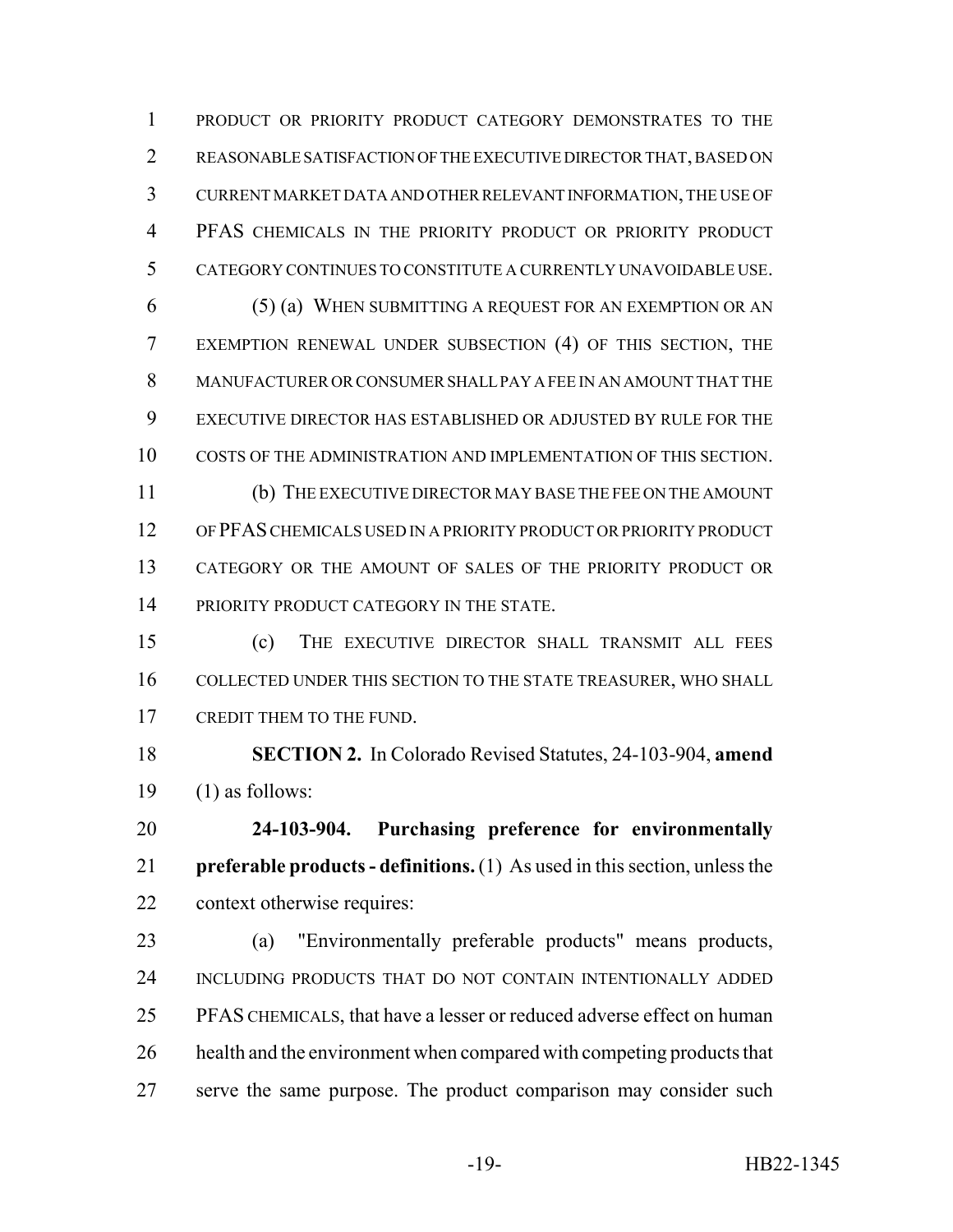PRODUCT OR PRIORITY PRODUCT CATEGORY DEMONSTRATES TO THE REASONABLE SATISFACTION OF THE EXECUTIVE DIRECTOR THAT, BASED ON CURRENT MARKET DATA AND OTHER RELEVANT INFORMATION, THE USE OF PFAS CHEMICALS IN THE PRIORITY PRODUCT OR PRIORITY PRODUCT CATEGORY CONTINUES TO CONSTITUTE A CURRENTLY UNAVOIDABLE USE.

 (5) (a) WHEN SUBMITTING A REQUEST FOR AN EXEMPTION OR AN EXEMPTION RENEWAL UNDER SUBSECTION (4) OF THIS SECTION, THE MANUFACTURER OR CONSUMER SHALL PAY A FEE IN AN AMOUNT THAT THE EXECUTIVE DIRECTOR HAS ESTABLISHED OR ADJUSTED BY RULE FOR THE COSTS OF THE ADMINISTRATION AND IMPLEMENTATION OF THIS SECTION. (b) THE EXECUTIVE DIRECTOR MAY BASE THE FEE ON THE AMOUNT

 OF PFAS CHEMICALS USED IN A PRIORITY PRODUCT OR PRIORITY PRODUCT CATEGORY OR THE AMOUNT OF SALES OF THE PRIORITY PRODUCT OR 14 PRIORITY PRODUCT CATEGORY IN THE STATE.

 (c) THE EXECUTIVE DIRECTOR SHALL TRANSMIT ALL FEES COLLECTED UNDER THIS SECTION TO THE STATE TREASURER, WHO SHALL 17 CREDIT THEM TO THE FUND.

 **SECTION 2.** In Colorado Revised Statutes, 24-103-904, **amend** (1) as follows:

 **24-103-904. Purchasing preference for environmentally preferable products - definitions.** (1) As used in this section, unless the context otherwise requires:

 (a) "Environmentally preferable products" means products, INCLUDING PRODUCTS THAT DO NOT CONTAIN INTENTIONALLY ADDED PFAS CHEMICALS, that have a lesser or reduced adverse effect on human 26 health and the environment when compared with competing products that serve the same purpose. The product comparison may consider such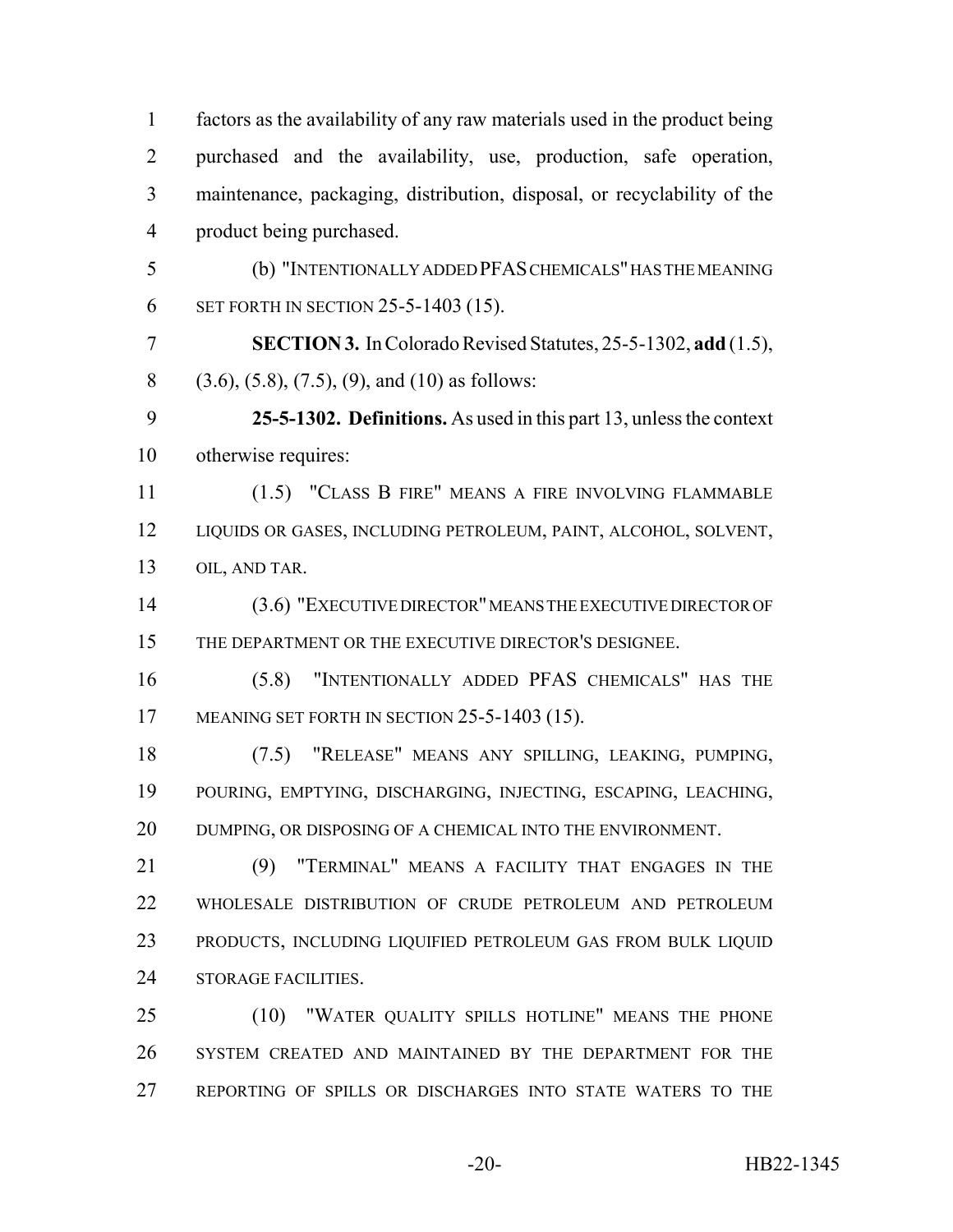factors as the availability of any raw materials used in the product being purchased and the availability, use, production, safe operation, maintenance, packaging, distribution, disposal, or recyclability of the product being purchased. (b) "INTENTIONALLY ADDED PFAS CHEMICALS" HAS THE MEANING SET FORTH IN SECTION 25-5-1403 (15). **SECTION 3.** In Colorado Revised Statutes, 25-5-1302, **add** (1.5), (3.6), (5.8), (7.5), (9), and (10) as follows: **25-5-1302. Definitions.** As used in this part 13, unless the context otherwise requires: (1.5) "CLASS B FIRE" MEANS A FIRE INVOLVING FLAMMABLE LIQUIDS OR GASES, INCLUDING PETROLEUM, PAINT, ALCOHOL, SOLVENT, OIL, AND TAR. (3.6) "EXECUTIVE DIRECTOR" MEANS THE EXECUTIVE DIRECTOR OF THE DEPARTMENT OR THE EXECUTIVE DIRECTOR'S DESIGNEE. (5.8) "INTENTIONALLY ADDED PFAS CHEMICALS" HAS THE 17 MEANING SET FORTH IN SECTION 25-5-1403 (15). (7.5) "RELEASE" MEANS ANY SPILLING, LEAKING, PUMPING, POURING, EMPTYING, DISCHARGING, INJECTING, ESCAPING, LEACHING, 20 DUMPING, OR DISPOSING OF A CHEMICAL INTO THE ENVIRONMENT. (9) "TERMINAL" MEANS A FACILITY THAT ENGAGES IN THE WHOLESALE DISTRIBUTION OF CRUDE PETROLEUM AND PETROLEUM PRODUCTS, INCLUDING LIQUIFIED PETROLEUM GAS FROM BULK LIQUID 24 STORAGE FACILITIES. (10) "WATER QUALITY SPILLS HOTLINE" MEANS THE PHONE SYSTEM CREATED AND MAINTAINED BY THE DEPARTMENT FOR THE REPORTING OF SPILLS OR DISCHARGES INTO STATE WATERS TO THE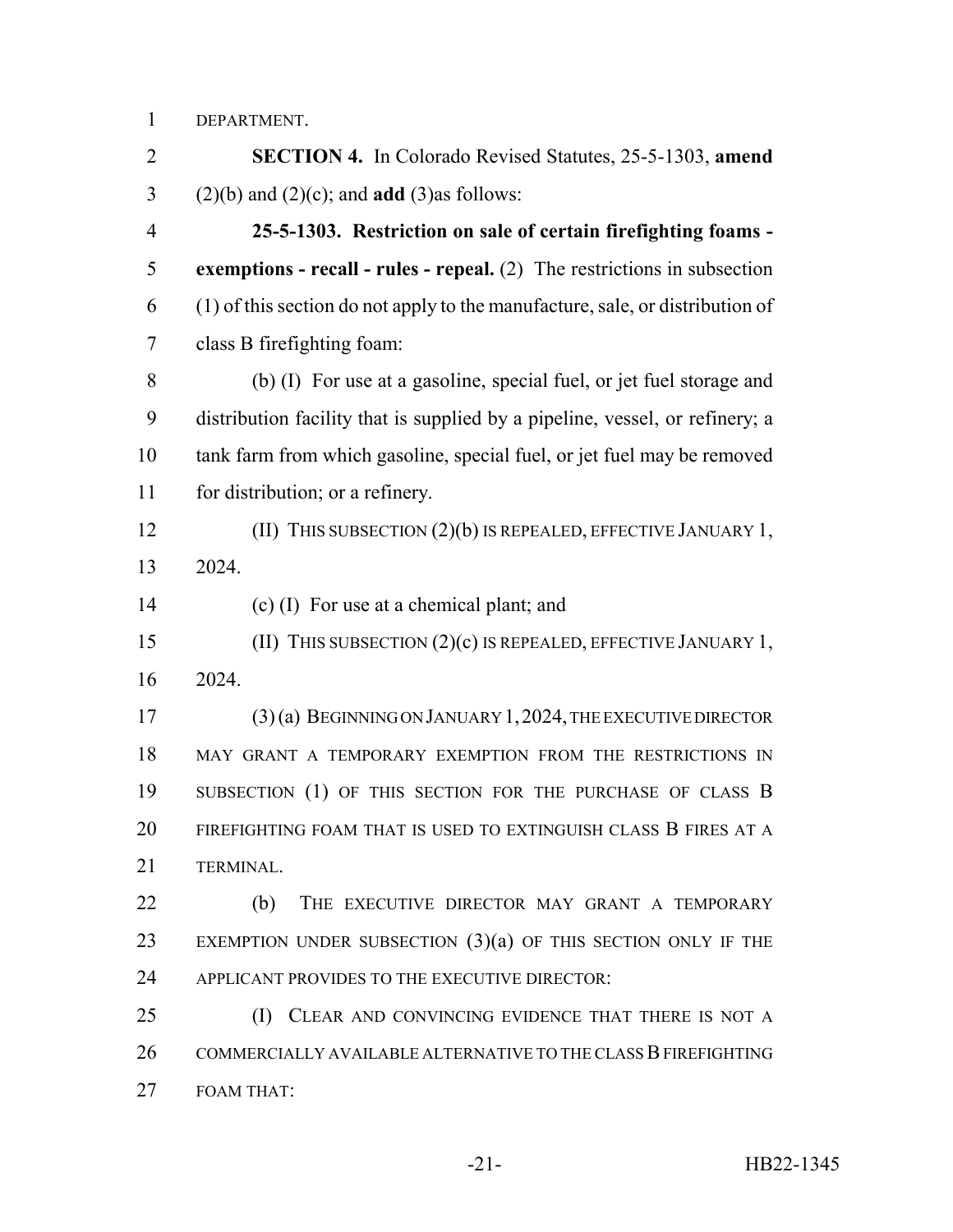DEPARTMENT.

 **SECTION 4.** In Colorado Revised Statutes, 25-5-1303, **amend** (2)(b) and (2)(c); and **add** (3)as follows: **25-5-1303. Restriction on sale of certain firefighting foams - exemptions - recall - rules - repeal.** (2) The restrictions in subsection (1) of this section do not apply to the manufacture, sale, or distribution of class B firefighting foam: (b) (I) For use at a gasoline, special fuel, or jet fuel storage and distribution facility that is supplied by a pipeline, vessel, or refinery; a tank farm from which gasoline, special fuel, or jet fuel may be removed 11 for distribution; or a refinery. **(II) THIS SUBSECTION (2)(b) IS REPEALED, EFFECTIVE JANUARY 1,**  2024. (c) (I) For use at a chemical plant; and (II) THIS SUBSECTION (2)(c) IS REPEALED, EFFECTIVE JANUARY 1, 2024. (3) (a) BEGINNING ON JANUARY 1,2024, THE EXECUTIVE DIRECTOR MAY GRANT A TEMPORARY EXEMPTION FROM THE RESTRICTIONS IN 19 SUBSECTION (1) OF THIS SECTION FOR THE PURCHASE OF CLASS B FIREFIGHTING FOAM THAT IS USED TO EXTINGUISH CLASS B FIRES AT A TERMINAL. **(b)** THE EXECUTIVE DIRECTOR MAY GRANT A TEMPORARY EXEMPTION UNDER SUBSECTION (3)(a) OF THIS SECTION ONLY IF THE 24 APPLICANT PROVIDES TO THE EXECUTIVE DIRECTOR: 25 (I) CLEAR AND CONVINCING EVIDENCE THAT THERE IS NOT A COMMERCIALLY AVAILABLE ALTERNATIVE TO THE CLASS B FIREFIGHTING FOAM THAT: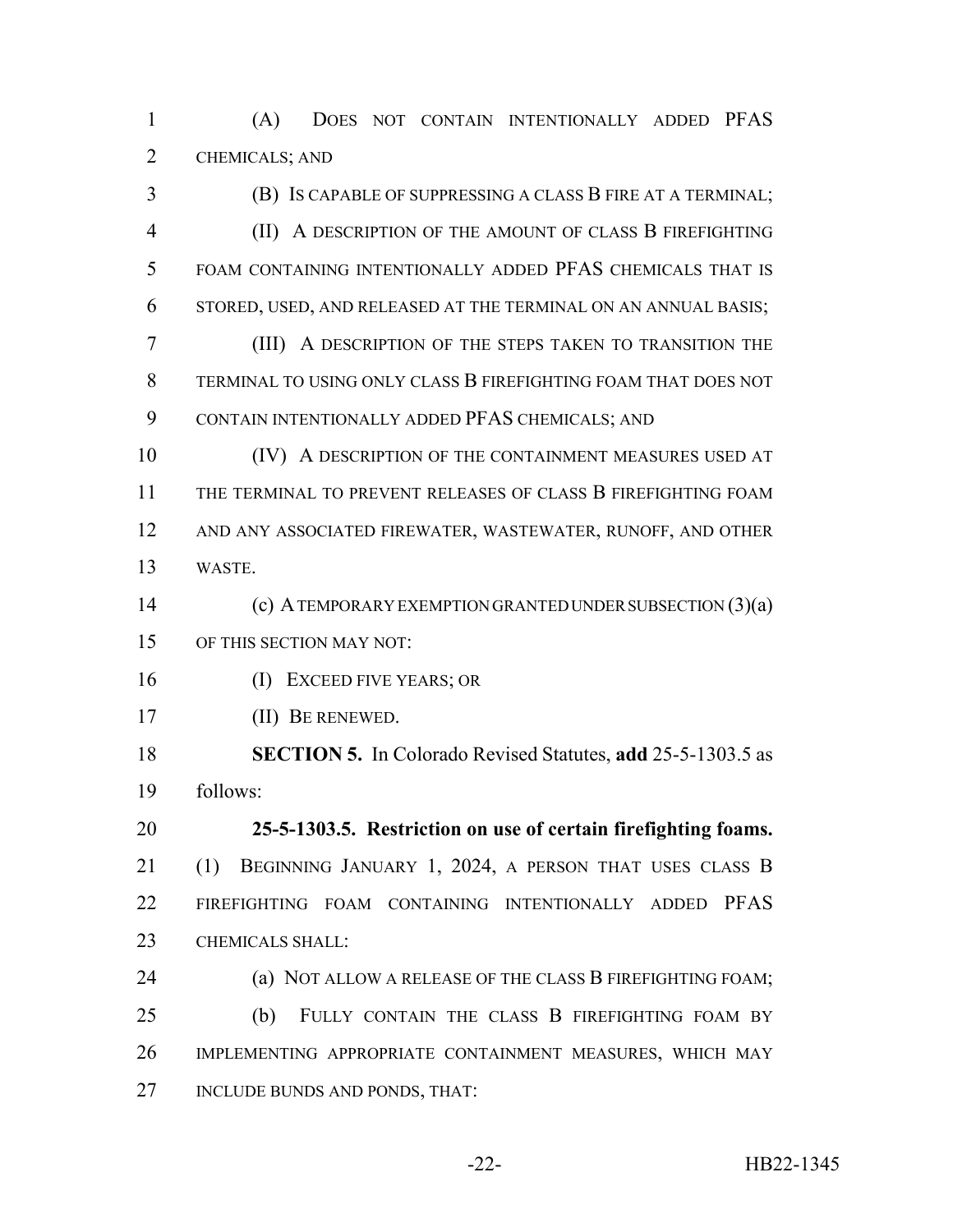(A) DOES NOT CONTAIN INTENTIONALLY ADDED PFAS CHEMICALS; AND

 (B) IS CAPABLE OF SUPPRESSING A CLASS B FIRE AT A TERMINAL; (II) A DESCRIPTION OF THE AMOUNT OF CLASS B FIREFIGHTING FOAM CONTAINING INTENTIONALLY ADDED PFAS CHEMICALS THAT IS STORED, USED, AND RELEASED AT THE TERMINAL ON AN ANNUAL BASIS;

 (III) A DESCRIPTION OF THE STEPS TAKEN TO TRANSITION THE TERMINAL TO USING ONLY CLASS B FIREFIGHTING FOAM THAT DOES NOT CONTAIN INTENTIONALLY ADDED PFAS CHEMICALS; AND

10 (IV) A DESCRIPTION OF THE CONTAINMENT MEASURES USED AT THE TERMINAL TO PREVENT RELEASES OF CLASS B FIREFIGHTING FOAM AND ANY ASSOCIATED FIREWATER, WASTEWATER, RUNOFF, AND OTHER WASTE.

 (c) A TEMPORARY EXEMPTION GRANTED UNDER SUBSECTION (3)(a) OF THIS SECTION MAY NOT:

(I) EXCEED FIVE YEARS; OR

(II) BE RENEWED.

 **SECTION 5.** In Colorado Revised Statutes, **add** 25-5-1303.5 as follows:

 **25-5-1303.5. Restriction on use of certain firefighting foams.** (1) BEGINNING JANUARY 1, 2024, A PERSON THAT USES CLASS B FIREFIGHTING FOAM CONTAINING INTENTIONALLY ADDED PFAS 23 CHEMICALS SHALL:

**(a) NOT ALLOW A RELEASE OF THE CLASS B FIREFIGHTING FOAM;**  (b) FULLY CONTAIN THE CLASS B FIREFIGHTING FOAM BY IMPLEMENTING APPROPRIATE CONTAINMENT MEASURES, WHICH MAY INCLUDE BUNDS AND PONDS, THAT: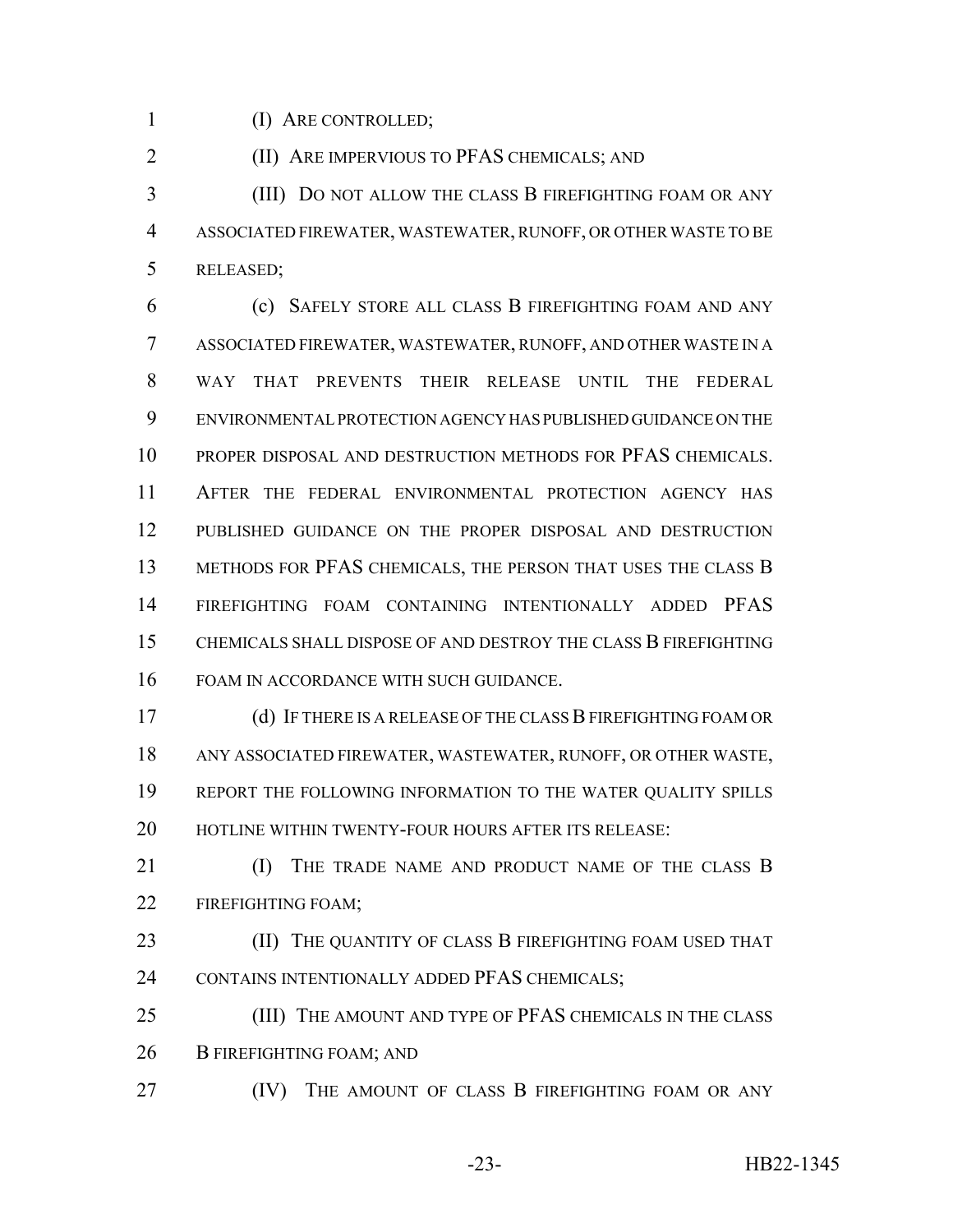(I) ARE CONTROLLED;

(II) ARE IMPERVIOUS TO PFAS CHEMICALS; AND

 (III) DO NOT ALLOW THE CLASS B FIREFIGHTING FOAM OR ANY ASSOCIATED FIREWATER, WASTEWATER, RUNOFF, OR OTHER WASTE TO BE RELEASED;

 (c) SAFELY STORE ALL CLASS B FIREFIGHTING FOAM AND ANY ASSOCIATED FIREWATER, WASTEWATER, RUNOFF, AND OTHER WASTE IN A WAY THAT PREVENTS THEIR RELEASE UNTIL THE FEDERAL ENVIRONMENTAL PROTECTION AGENCY HAS PUBLISHED GUIDANCE ON THE PROPER DISPOSAL AND DESTRUCTION METHODS FOR PFAS CHEMICALS. AFTER THE FEDERAL ENVIRONMENTAL PROTECTION AGENCY HAS PUBLISHED GUIDANCE ON THE PROPER DISPOSAL AND DESTRUCTION 13 METHODS FOR PFAS CHEMICALS, THE PERSON THAT USES THE CLASS B FIREFIGHTING FOAM CONTAINING INTENTIONALLY ADDED PFAS CHEMICALS SHALL DISPOSE OF AND DESTROY THE CLASS B FIREFIGHTING FOAM IN ACCORDANCE WITH SUCH GUIDANCE.

 (d) IF THERE IS A RELEASE OF THE CLASS B FIREFIGHTING FOAM OR ANY ASSOCIATED FIREWATER, WASTEWATER, RUNOFF, OR OTHER WASTE, REPORT THE FOLLOWING INFORMATION TO THE WATER QUALITY SPILLS 20 HOTLINE WITHIN TWENTY-FOUR HOURS AFTER ITS RELEASE:

**II** THE TRADE NAME AND PRODUCT NAME OF THE CLASS B 22 FIREFIGHTING FOAM:

**(II) THE QUANTITY OF CLASS B FIREFIGHTING FOAM USED THAT** 24 CONTAINS INTENTIONALLY ADDED PFAS CHEMICALS;

 (III) THE AMOUNT AND TYPE OF PFAS CHEMICALS IN THE CLASS 26 B FIREFIGHTING FOAM; AND

**IV)** THE AMOUNT OF CLASS **B** FIREFIGHTING FOAM OR ANY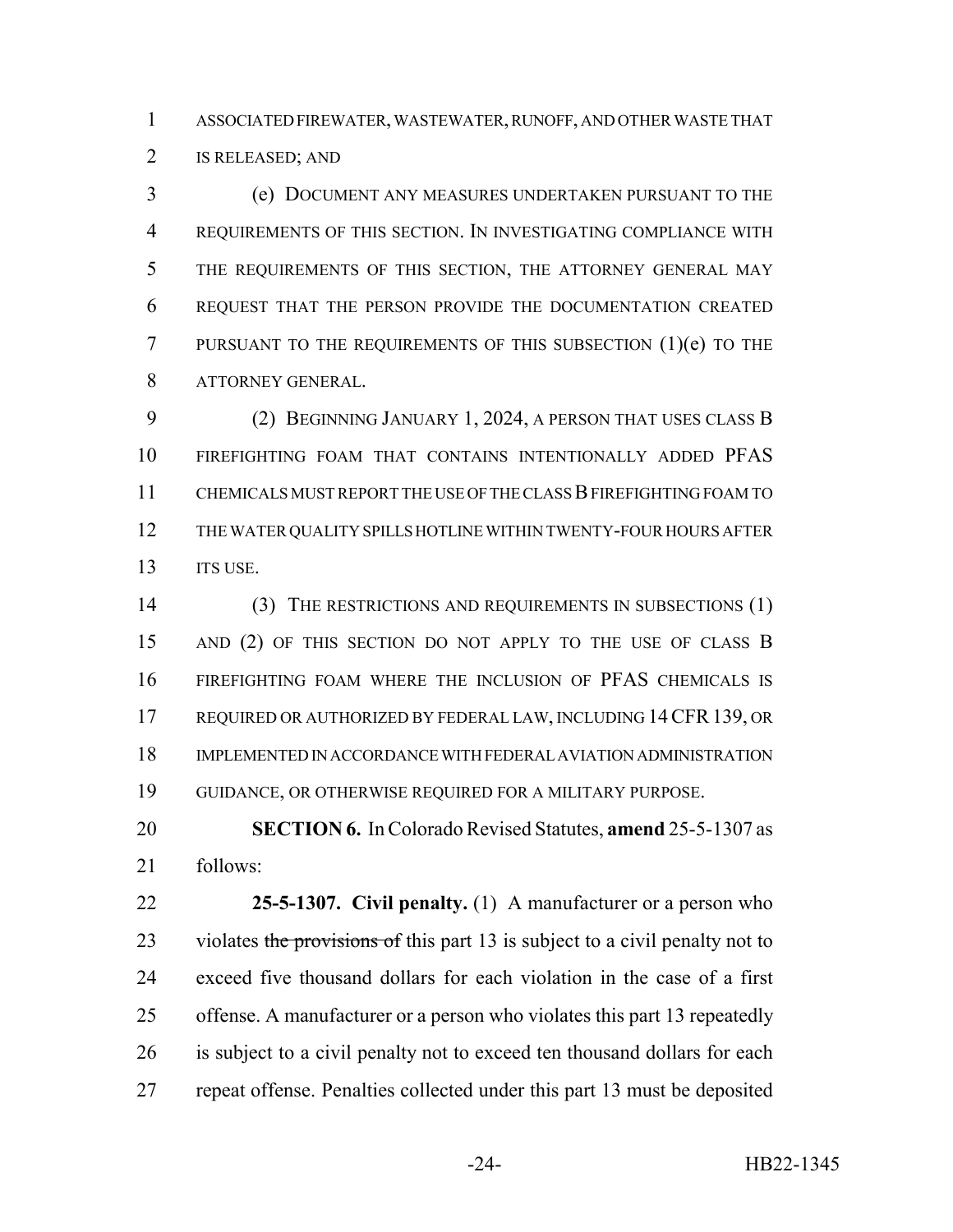ASSOCIATED FIREWATER, WASTEWATER, RUNOFF, AND OTHER WASTE THAT IS RELEASED; AND

 (e) DOCUMENT ANY MEASURES UNDERTAKEN PURSUANT TO THE REQUIREMENTS OF THIS SECTION. IN INVESTIGATING COMPLIANCE WITH THE REQUIREMENTS OF THIS SECTION, THE ATTORNEY GENERAL MAY REQUEST THAT THE PERSON PROVIDE THE DOCUMENTATION CREATED 7 PURSUANT TO THE REQUIREMENTS OF THIS SUBSECTION (1)(e) TO THE ATTORNEY GENERAL.

 (2) BEGINNING JANUARY 1, 2024, A PERSON THAT USES CLASS B FIREFIGHTING FOAM THAT CONTAINS INTENTIONALLY ADDED PFAS CHEMICALS MUST REPORT THE USE OF THE CLASS B FIREFIGHTING FOAM TO THE WATER QUALITY SPILLS HOTLINE WITHIN TWENTY-FOUR HOURS AFTER 13 ITS USE.

14 (3) THE RESTRICTIONS AND REQUIREMENTS IN SUBSECTIONS (1) 15 AND (2) OF THIS SECTION DO NOT APPLY TO THE USE OF CLASS B FIREFIGHTING FOAM WHERE THE INCLUSION OF PFAS CHEMICALS IS REQUIRED OR AUTHORIZED BY FEDERAL LAW, INCLUDING 14CFR139, OR IMPLEMENTED IN ACCORDANCE WITH FEDERAL AVIATION ADMINISTRATION GUIDANCE, OR OTHERWISE REQUIRED FOR A MILITARY PURPOSE.

 **SECTION 6.** In Colorado Revised Statutes, **amend** 25-5-1307 as follows:

 **25-5-1307. Civil penalty.** (1) A manufacturer or a person who 23 violates the provisions of this part 13 is subject to a civil penalty not to exceed five thousand dollars for each violation in the case of a first offense. A manufacturer or a person who violates this part 13 repeatedly 26 is subject to a civil penalty not to exceed ten thousand dollars for each repeat offense. Penalties collected under this part 13 must be deposited